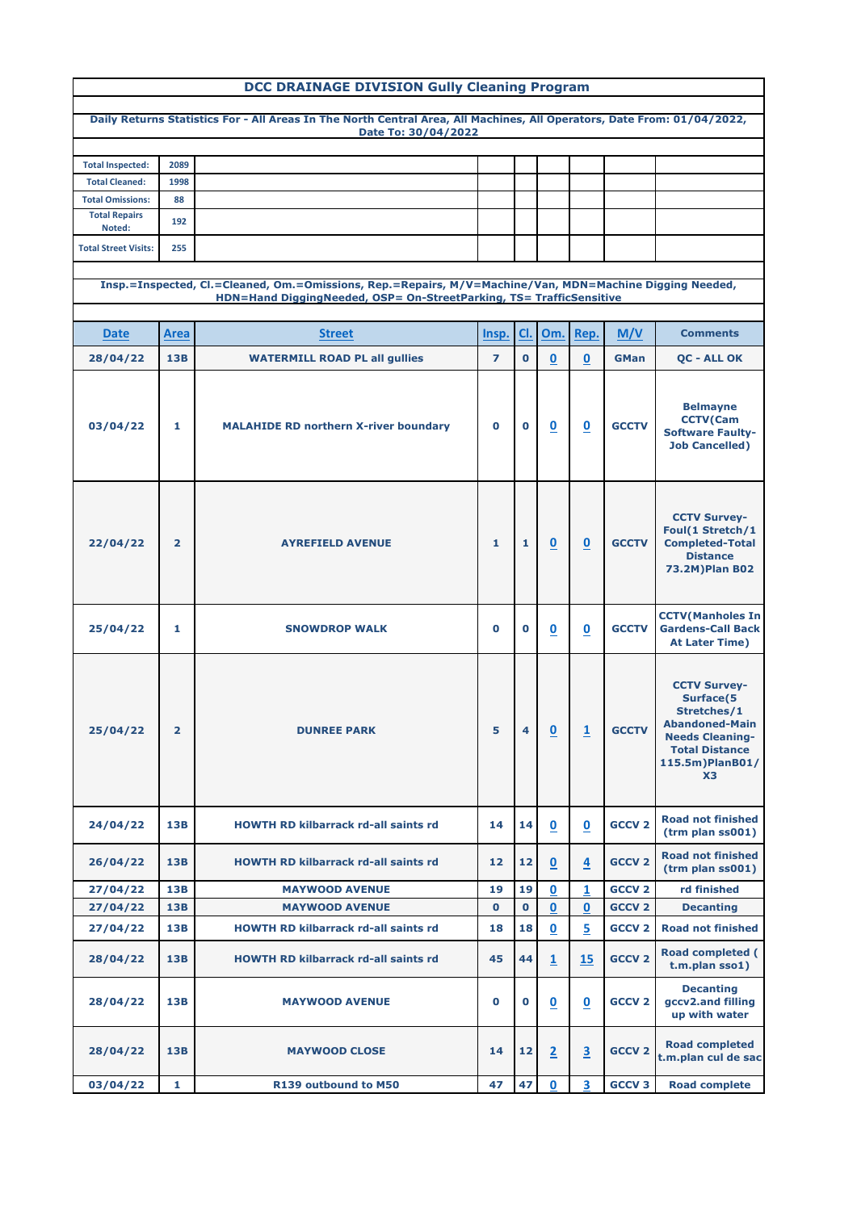| <b>DCC DRAINAGE DIVISION Gully Cleaning Program</b>                                                     |                |                                                                                                                                                |                |                   |                          |                          |               |                                                                                                                                                                         |  |  |
|---------------------------------------------------------------------------------------------------------|----------------|------------------------------------------------------------------------------------------------------------------------------------------------|----------------|-------------------|--------------------------|--------------------------|---------------|-------------------------------------------------------------------------------------------------------------------------------------------------------------------------|--|--|
|                                                                                                         |                | Daily Returns Statistics For - All Areas In The North Central Area, All Machines, All Operators, Date From: 01/04/2022,<br>Date To: 30/04/2022 |                |                   |                          |                          |               |                                                                                                                                                                         |  |  |
|                                                                                                         |                |                                                                                                                                                |                |                   |                          |                          |               |                                                                                                                                                                         |  |  |
| <b>Total Inspected:</b>                                                                                 | 2089           |                                                                                                                                                |                |                   |                          |                          |               |                                                                                                                                                                         |  |  |
| <b>Total Cleaned:</b>                                                                                   | 1998           |                                                                                                                                                |                |                   |                          |                          |               |                                                                                                                                                                         |  |  |
| <b>Total Omissions:</b>                                                                                 | 88             |                                                                                                                                                |                |                   |                          |                          |               |                                                                                                                                                                         |  |  |
| <b>Total Repairs</b><br>Noted:                                                                          | 192            |                                                                                                                                                |                |                   |                          |                          |               |                                                                                                                                                                         |  |  |
| <b>Total Street Visits:</b>                                                                             | 255            |                                                                                                                                                |                |                   |                          |                          |               |                                                                                                                                                                         |  |  |
| Insp.=Inspected, Cl.=Cleaned, Om.=Omissions, Rep.=Repairs, M/V=Machine/Van, MDN=Machine Digging Needed, |                |                                                                                                                                                |                |                   |                          |                          |               |                                                                                                                                                                         |  |  |
|                                                                                                         |                | HDN=Hand DiggingNeeded, OSP= On-StreetParking, TS= TrafficSensitive                                                                            |                |                   |                          |                          |               |                                                                                                                                                                         |  |  |
|                                                                                                         |                |                                                                                                                                                |                |                   |                          |                          |               |                                                                                                                                                                         |  |  |
| <b>Date</b>                                                                                             | <b>Area</b>    | <b>Street</b>                                                                                                                                  | Insp.          | CI.               | Om.                      | Rep.                     | M/V           | <b>Comments</b>                                                                                                                                                         |  |  |
| 28/04/22                                                                                                | <b>13B</b>     | <b>WATERMILL ROAD PL all gullies</b>                                                                                                           | $\overline{ }$ | $\mathbf{O}$      | $\underline{\mathbf{0}}$ | $\overline{\mathbf{0}}$  | <b>GMan</b>   | <b>OC - ALL OK</b>                                                                                                                                                      |  |  |
| 03/04/22                                                                                                | 1.             | <b>MALAHIDE RD northern X-river boundary</b>                                                                                                   | $\mathbf 0$    | $\mathbf 0$       | $\underline{\mathbf{0}}$ | $\underline{\mathbf{0}}$ | <b>GCCTV</b>  | <b>Belmayne</b><br><b>CCTV(Cam</b><br><b>Software Faulty-</b><br><b>Job Cancelled)</b>                                                                                  |  |  |
| 22/04/22                                                                                                | $\overline{2}$ | <b>AYREFIELD AVENUE</b>                                                                                                                        | 1              | 1                 | $\mathbf 0$              | $\mathbf 0$              | <b>GCCTV</b>  | <b>CCTV Survey-</b><br>Foul(1 Stretch/1<br><b>Completed-Total</b><br><b>Distance</b><br>73.2M) Plan B02                                                                 |  |  |
| 25/04/22                                                                                                | 1              | <b>SNOWDROP WALK</b>                                                                                                                           | $\mathbf 0$    | $\bf o$           | $\boldsymbol{0}$         | $\overline{\mathbf{0}}$  | <b>GCCTV</b>  | <b>CCTV</b> (Manholes In<br><b>Gardens-Call Back</b><br><b>At Later Time)</b>                                                                                           |  |  |
| 25/04/22                                                                                                | $\overline{2}$ | <b>DUNREE PARK</b>                                                                                                                             | 5              | 4                 | $\mathbf 0$              | $\overline{\mathbf{1}}$  | <b>GCCTV</b>  | <b>CCTV Survey-</b><br><b>Surface(5</b><br>Stretches/1<br><b>Abandoned-Main</b><br><b>Needs Cleaning-</b><br><b>Total Distance</b><br>115.5m)PlanB01/<br>X <sub>3</sub> |  |  |
| 24/04/22                                                                                                | 13B            | <b>HOWTH RD kilbarrack rd-all saints rd</b>                                                                                                    | 14             | 14                | $\bf{0}$                 | $\overline{\mathbf{0}}$  | <b>GCCV 2</b> | <b>Road not finished</b><br>(trm plan ss001)                                                                                                                            |  |  |
| 26/04/22                                                                                                | 13B            | <b>HOWTH RD kilbarrack rd-all saints rd</b>                                                                                                    | 12             | $12 \overline{ }$ | $\mathbf 0$              | $\overline{4}$           | <b>GCCV 2</b> | <b>Road not finished</b><br>(trm plan ss001)                                                                                                                            |  |  |
| 27/04/22                                                                                                | <b>13B</b>     | <b>MAYWOOD AVENUE</b>                                                                                                                          | 19             | 19                | $\mathbf 0$              | $\mathbf{1}$             | <b>GCCV 2</b> | rd finished                                                                                                                                                             |  |  |
| 27/04/22                                                                                                | <b>13B</b>     | <b>MAYWOOD AVENUE</b>                                                                                                                          | $\mathbf 0$    | $\mathbf 0$       | $\mathbf 0$              | $\bf{0}$                 | <b>GCCV 2</b> | <b>Decanting</b>                                                                                                                                                        |  |  |
| 27/04/22                                                                                                | 13B            | <b>HOWTH RD kilbarrack rd-all saints rd</b>                                                                                                    | 18             | 18                | $\overline{\mathbf{0}}$  | 5                        | <b>GCCV 2</b> | <b>Road not finished</b>                                                                                                                                                |  |  |
| 28/04/22                                                                                                | 13B            | <b>HOWTH RD kilbarrack rd-all saints rd</b>                                                                                                    | 45             | 44                | $\overline{1}$           | 15                       | <b>GCCV 2</b> | <b>Road completed (</b><br>t.m.plan sso1)                                                                                                                               |  |  |
| 28/04/22                                                                                                | 13B            | <b>MAYWOOD AVENUE</b>                                                                                                                          | $\mathbf 0$    | $\bf{0}$          | $\overline{\mathbf{0}}$  | $\underline{\mathbf{0}}$ | <b>GCCV 2</b> | <b>Decanting</b><br>gccv2.and filling<br>up with water                                                                                                                  |  |  |
| 28/04/22                                                                                                | 13B            | <b>MAYWOOD CLOSE</b>                                                                                                                           | 14             | 12                | $\overline{2}$           | $\overline{\mathbf{3}}$  | <b>GCCV 2</b> | <b>Road completed</b><br>t.m.plan cul de sac                                                                                                                            |  |  |
| 03/04/22                                                                                                | 1              | R139 outbound to M50                                                                                                                           | 47             | 47                | $\mathbf 0$              | 3                        | <b>GCCV 3</b> | <b>Road complete</b>                                                                                                                                                    |  |  |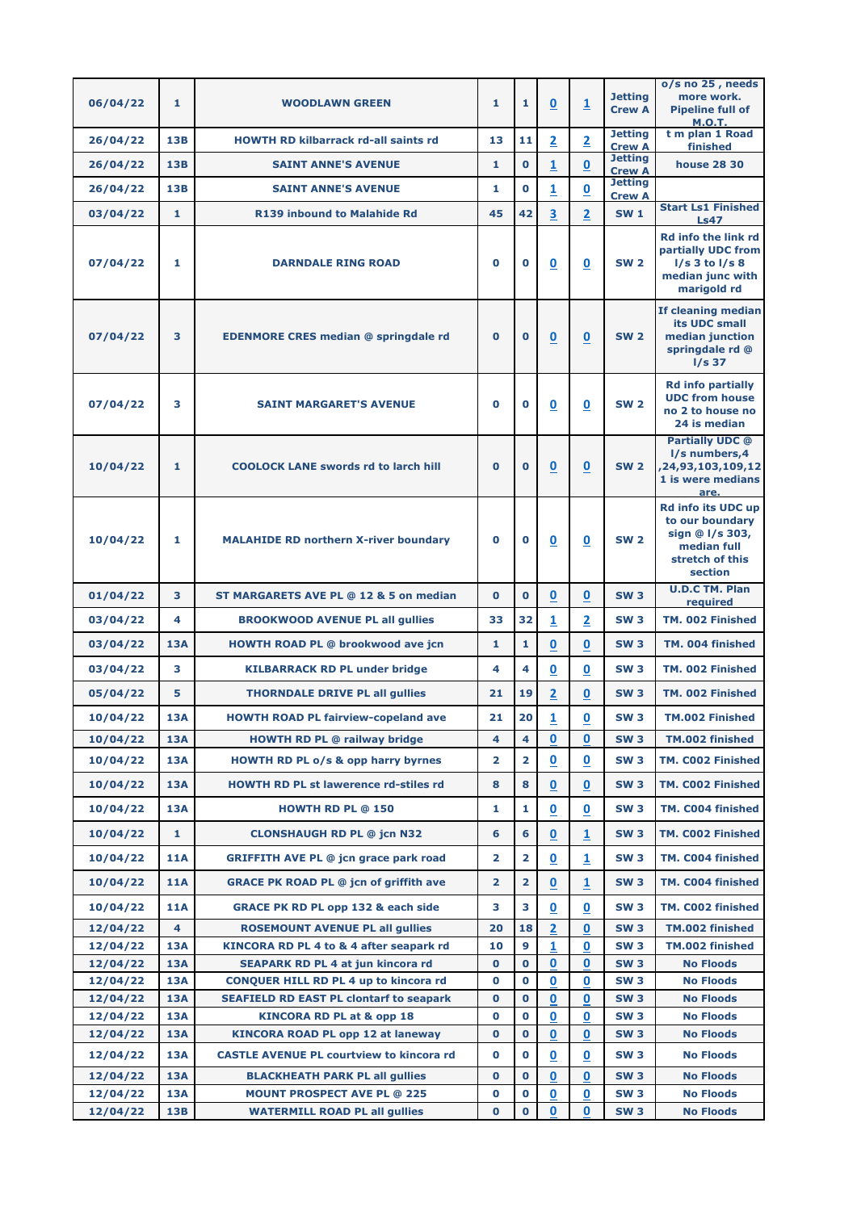|          |              |                                                 |                         |                            |                                 |                          |                                 | o/s no 25, needs                          |
|----------|--------------|-------------------------------------------------|-------------------------|----------------------------|---------------------------------|--------------------------|---------------------------------|-------------------------------------------|
| 06/04/22 | 1            | <b>WOODLAWN GREEN</b>                           | 1                       | $\mathbf{1}$               | $\overline{\mathbf{0}}$         | $\overline{\mathbf{1}}$  | <b>Jetting</b><br><b>Crew A</b> | more work.<br><b>Pipeline full of</b>     |
|          |              |                                                 |                         |                            |                                 |                          | <b>Jetting</b>                  | <b>M.O.T.</b><br>t m plan 1 Road          |
| 26/04/22 | 13B          | <b>HOWTH RD kilbarrack rd-all saints rd</b>     | 13                      | 11                         | $\overline{2}$                  | $\overline{2}$           | <b>Crew A</b>                   | finished                                  |
| 26/04/22 | <b>13B</b>   | <b>SAINT ANNE'S AVENUE</b>                      | 1                       | $\mathbf 0$                | $\overline{1}$                  | $\mathbf 0$              | <b>Jetting</b><br><b>Crew A</b> | <b>house 28 30</b>                        |
| 26/04/22 | <b>13B</b>   | <b>SAINT ANNE'S AVENUE</b>                      | 1                       | $\mathbf 0$                | $\overline{1}$                  | $\underline{\mathbf{0}}$ | <b>Jetting</b><br><b>Crew A</b> |                                           |
| 03/04/22 | 1            | <b>R139 inbound to Malahide Rd</b>              | 45                      | 42                         | $\overline{\mathbf{3}}$         | $\overline{2}$           | <b>SW1</b>                      | <b>Start Ls1 Finished</b><br><b>Ls47</b>  |
|          |              |                                                 |                         |                            |                                 |                          |                                 | <b>Rd info the link rd</b>                |
|          |              |                                                 |                         |                            |                                 |                          |                                 | partially UDC from                        |
| 07/04/22 | 1            | <b>DARNDALE RING ROAD</b>                       | $\mathbf 0$             | $\mathbf 0$                | $\bf{0}$                        | $\bf{0}$                 | <b>SW 2</b>                     | $I/s$ 3 to $I/s$ 8<br>median junc with    |
|          |              |                                                 |                         |                            |                                 |                          |                                 | marigold rd                               |
|          |              |                                                 |                         |                            |                                 |                          |                                 | If cleaning median                        |
|          |              |                                                 |                         |                            |                                 |                          | <b>SW 2</b>                     | its UDC small                             |
| 07/04/22 | 3            | <b>EDENMORE CRES median @ springdale rd</b>     | $\mathbf 0$             | $\bf{O}$                   | $\underline{\mathbf{0}}$        | $\underline{\mathbf{0}}$ |                                 | median junction<br>springdale rd @        |
|          |              |                                                 |                         |                            |                                 |                          |                                 | $1/s$ 37                                  |
|          |              |                                                 |                         |                            |                                 |                          |                                 | <b>Rd info partially</b>                  |
| 07/04/22 | 3            | <b>SAINT MARGARET'S AVENUE</b>                  | $\bf{0}$                | $\mathbf 0$                | $\overline{\mathbf{0}}$         | $\overline{\mathbf{0}}$  | <b>SW 2</b>                     | <b>UDC from house</b><br>no 2 to house no |
|          |              |                                                 |                         |                            |                                 |                          |                                 | 24 is median                              |
|          |              |                                                 |                         |                            |                                 |                          |                                 | <b>Partially UDC @</b>                    |
| 10/04/22 | 1            | <b>COOLOCK LANE swords rd to larch hill</b>     | $\mathbf 0$             | $\mathbf 0$                | $\mathbf 0$                     | $\mathbf 0$              | <b>SW 2</b>                     | l/s numbers, 4<br>,24,93,103,109,12       |
|          |              |                                                 |                         |                            |                                 |                          |                                 | 1 is were medians                         |
|          |              |                                                 |                         |                            |                                 |                          |                                 | are.<br><b>Rd info its UDC up</b>         |
|          |              |                                                 |                         |                            |                                 |                          |                                 | to our boundary                           |
| 10/04/22 | 1            | <b>MALAHIDE RD northern X-river boundary</b>    | $\bf{0}$                | $\mathbf 0$                | $\boldsymbol{0}$                | $\underline{\mathbf{0}}$ | <b>SW 2</b>                     | sign @ I/s 303,<br>median full            |
|          |              |                                                 |                         |                            |                                 |                          |                                 | stretch of this                           |
|          |              |                                                 |                         |                            |                                 |                          |                                 | section                                   |
| 01/04/22 | 3            | ST MARGARETS AVE PL @ 12 & 5 on median          | $\bf{0}$                | $\bf{0}$                   | $\underline{\mathbf{0}}$        | $\overline{\mathbf{0}}$  | <b>SW3</b>                      | <b>U.D.C TM. Plan</b><br>required         |
| 03/04/22 | 4            | <b>BROOKWOOD AVENUE PL all gullies</b>          | 33                      | 32                         | 1                               | 2                        | <b>SW3</b>                      | TM. 002 Finished                          |
| 03/04/22 | <b>13A</b>   | <b>HOWTH ROAD PL @ brookwood ave jcn</b>        | 1                       | $\mathbf{1}$               | $\mathbf 0$                     | $\mathbf 0$              | <b>SW3</b>                      | TM. 004 finished                          |
| 03/04/22 | 3            | <b>KILBARRACK RD PL under bridge</b>            | 4                       | 4                          | $\mathbf 0$                     | 0                        | <b>SW3</b>                      | TM. 002 Finished                          |
| 05/04/22 | 5            | <b>THORNDALE DRIVE PL all gullies</b>           | 21                      | 19                         | $\overline{2}$                  | $\mathbf 0$              | <b>SW3</b>                      | TM. 002 Finished                          |
| 10/04/22 | <b>13A</b>   | <b>HOWTH ROAD PL fairview-copeland ave</b>      | 21                      | 20                         | $\overline{1}$                  | $\overline{\mathbf{0}}$  | <b>SW3</b>                      | <b>TM.002 Finished</b>                    |
| 10/04/22 | <b>13A</b>   | <b>HOWTH RD PL @ railway bridge</b>             | 4                       | $\overline{\mathbf{4}}$    | $\mathbf 0$                     | $\mathbf 0$              | <b>SW3</b>                      | TM.002 finished                           |
| 10/04/22 | <b>13A</b>   | <b>HOWTH RD PL o/s &amp; opp harry byrnes</b>   | $\mathbf{2}$            | $\overline{2}$             | $\overline{\mathbf{0}}$         | $\mathbf 0$              | <b>SW3</b>                      | TM. C002 Finished                         |
|          |              |                                                 |                         |                            |                                 |                          |                                 |                                           |
| 10/04/22 | <b>13A</b>   | HOWTH RD PL st lawerence rd-stiles rd           | 8                       | 8                          | $\overline{\mathbf{0}}$         | 0                        | <b>SW3</b>                      | TM. C002 Finished                         |
| 10/04/22 | <b>13A</b>   | <b>HOWTH RD PL @ 150</b>                        | 1                       | 1                          | $\mathbf 0$                     | 0                        | <b>SW3</b>                      | TM. C004 finished                         |
| 10/04/22 | $\mathbf{1}$ | <b>CLONSHAUGH RD PL @ jcn N32</b>               | 6                       | 6                          | $\underline{\mathbf{0}}$        | $\overline{\mathbf{1}}$  | <b>SW3</b>                      | TM. C002 Finished                         |
| 10/04/22 | <b>11A</b>   | <b>GRIFFITH AVE PL @ jcn grace park road</b>    | 2                       | $\overline{\mathbf{2}}$    | $\overline{\mathbf{0}}$         | $\overline{\mathbf{1}}$  | <b>SW3</b>                      | TM. C004 finished                         |
| 10/04/22 | <b>11A</b>   | <b>GRACE PK ROAD PL @ jcn of griffith ave</b>   | $\overline{\mathbf{2}}$ | $\overline{2}$             | 0                               | 1                        | <b>SW3</b>                      | TM. C004 finished                         |
| 10/04/22 | <b>11A</b>   | <b>GRACE PK RD PL opp 132 &amp; each side</b>   | 3                       | 3                          | $\underline{\mathbf{0}}$        | $\overline{\mathbf{0}}$  | <b>SW3</b>                      | TM. C002 finished                         |
| 12/04/22 | 4            | <b>ROSEMOUNT AVENUE PL all gullies</b>          | 20                      | 18                         | $\overline{2}$                  | 0                        | <b>SW3</b>                      | TM.002 finished                           |
| 12/04/22 | <b>13A</b>   | KINCORA RD PL 4 to & 4 after seapark rd         | 10                      | 9                          | 1                               | 0                        | <b>SW3</b>                      | TM.002 finished                           |
| 12/04/22 | <b>13A</b>   | <b>SEAPARK RD PL 4 at jun kincora rd</b>        | $\mathbf 0$             | $\mathbf 0$                | 0                               | 0                        | <b>SW3</b>                      | <b>No Floods</b>                          |
| 12/04/22 | <b>13A</b>   | <b>CONQUER HILL RD PL 4 up to kincora rd</b>    | $\mathbf 0$             | $\mathbf 0$                | 0                               | 0                        | <b>SW3</b>                      | <b>No Floods</b>                          |
| 12/04/22 | <b>13A</b>   | <b>SEAFIELD RD EAST PL clontarf to seapark</b>  | $\mathbf 0$             | $\mathbf 0$                | $\mathbf 0$                     | $\mathbf 0$              | <b>SW3</b>                      | <b>No Floods</b>                          |
| 12/04/22 | <b>13A</b>   | <b>KINCORA RD PL at &amp; opp 18</b>            | $\mathbf 0$             | $\mathbf 0$<br>$\mathbf 0$ | 0                               | 0                        | <b>SW3</b>                      | <b>No Floods</b><br><b>No Floods</b>      |
| 12/04/22 | <b>13A</b>   | <b>KINCORA ROAD PL opp 12 at laneway</b>        | $\mathbf 0$             |                            | 0                               | 0                        | <b>SW3</b>                      |                                           |
| 12/04/22 | <b>13A</b>   | <b>CASTLE AVENUE PL courtview to kincora rd</b> | $\mathbf 0$             | $\mathbf 0$                | $\boldsymbol{0}$                | 0                        | <b>SW3</b>                      | <b>No Floods</b>                          |
| 12/04/22 | <b>13A</b>   | <b>BLACKHEATH PARK PL all gullies</b>           | $\mathbf 0$             | $\mathbf 0$                | $\mathbf 0$                     | $\mathbf 0$              | <b>SW3</b>                      | <b>No Floods</b>                          |
| 12/04/22 | <b>13A</b>   | <b>MOUNT PROSPECT AVE PL @ 225</b>              | $\mathbf 0$             | $\mathbf 0$<br>$\mathbf 0$ | $\boldsymbol{0}$<br>$\mathbf 0$ | 0<br>$\bf{0}$            | <b>SW3</b>                      | <b>No Floods</b>                          |
| 12/04/22 | <b>13B</b>   | <b>WATERMILL ROAD PL all gullies</b>            | $\mathbf 0$             |                            |                                 |                          | <b>SW3</b>                      | <b>No Floods</b>                          |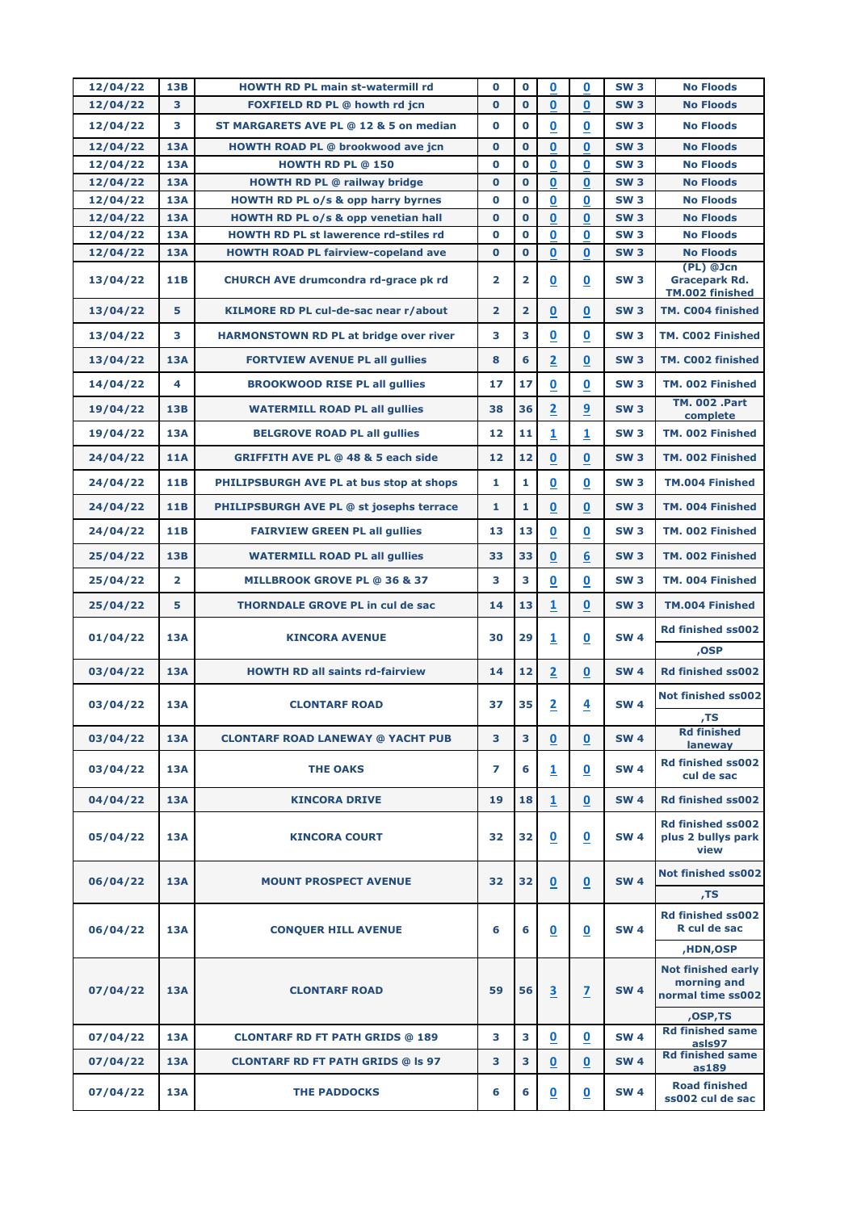| 12/04/22             | <b>13B</b>               | <b>HOWTH RD PL main st-watermill rd</b>                                                    | $\mathbf 0$             | $\mathbf 0$                | 0                        | $\bf{0}$                 | <b>SW3</b>               | <b>No Floods</b>                                              |
|----------------------|--------------------------|--------------------------------------------------------------------------------------------|-------------------------|----------------------------|--------------------------|--------------------------|--------------------------|---------------------------------------------------------------|
| 12/04/22             | 3                        | FOXFIELD RD PL @ howth rd jcn                                                              | $\mathbf 0$             | $\mathbf 0$                | $\mathbf 0$              | $\mathbf 0$              | <b>SW3</b>               | <b>No Floods</b>                                              |
| 12/04/22             | 3                        | ST MARGARETS AVE PL @ 12 & 5 on median                                                     | $\mathbf 0$             | $\bf{0}$                   | $\overline{\mathbf{0}}$  | $\mathbf 0$              | <b>SW3</b>               | <b>No Floods</b>                                              |
| 12/04/22             | <b>13A</b>               | <b>HOWTH ROAD PL @ brookwood ave jcn</b>                                                   | $\bf{0}$                | $\mathbf{O}$               | $\mathbf{0}$             | $\bf{0}$                 | <b>SW3</b>               | <b>No Floods</b>                                              |
| 12/04/22             | <b>13A</b>               | <b>HOWTH RD PL @ 150</b>                                                                   | $\mathbf 0$             | $\mathbf 0$                | 0                        | 0                        | <b>SW3</b>               | <b>No Floods</b>                                              |
| 12/04/22             | <b>13A</b>               | <b>HOWTH RD PL @ railway bridge</b>                                                        | $\mathbf 0$             | $\mathbf 0$                | $\mathbf 0$              | $\bf{0}$                 | <b>SW3</b>               | <b>No Floods</b>                                              |
| 12/04/22             | <b>13A</b>               | <b>HOWTH RD PL o/s &amp; opp harry byrnes</b>                                              | $\bf{0}$                | $\mathbf 0$                | 0                        | $\mathbf 0$              | <b>SW3</b>               | <b>No Floods</b>                                              |
| 12/04/22             | <b>13A</b>               | HOWTH RD PL o/s & opp venetian hall                                                        | $\bf{0}$                | $\mathbf{O}$               | $\mathbf 0$              | 0                        | <b>SW3</b>               | <b>No Floods</b>                                              |
| 12/04/22<br>12/04/22 | <b>13A</b><br><b>13A</b> | <b>HOWTH RD PL st lawerence rd-stiles rd</b><br><b>HOWTH ROAD PL fairview-copeland ave</b> | $\bf{0}$<br>$\mathbf 0$ | $\mathbf 0$<br>$\mathbf 0$ | 0<br>$\mathbf 0$         | 0<br>0                   | <b>SW3</b><br><b>SW3</b> | <b>No Floods</b><br><b>No Floods</b>                          |
|                      |                          |                                                                                            |                         |                            |                          |                          |                          | (PL) @Jcn                                                     |
| 13/04/22             | 11B                      | <b>CHURCH AVE drumcondra rd-grace pk rd</b>                                                | $\overline{2}$          | $\overline{2}$             | $\underline{\mathbf{0}}$ | $\mathbf 0$              | <b>SW3</b>               | <b>Gracepark Rd.</b><br>TM.002 finished                       |
| 13/04/22             | 5                        | KILMORE RD PL cul-de-sac near r/about                                                      | $\overline{2}$          | $\overline{2}$             | 0                        | $\mathbf 0$              | <b>SW3</b>               | TM. C004 finished                                             |
| 13/04/22             | 3                        | <b>HARMONSTOWN RD PL at bridge over river</b>                                              | 3                       | 3                          | $\overline{\mathbf{0}}$  | $\mathbf 0$              | <b>SW3</b>               | TM. C002 Finished                                             |
| 13/04/22             | <b>13A</b>               | <b>FORTVIEW AVENUE PL all gullies</b>                                                      | 8                       | 6                          | $\overline{2}$           | $\mathbf 0$              | <b>SW3</b>               | TM. C002 finished                                             |
| 14/04/22             | 4                        | <b>BROOKWOOD RISE PL all gullies</b>                                                       | 17                      | 17                         | $\mathbf 0$              | 0                        | <b>SW3</b>               | TM. 002 Finished                                              |
| 19/04/22             | <b>13B</b>               | <b>WATERMILL ROAD PL all gullies</b>                                                       | 38                      | 36                         | $\overline{\mathbf{2}}$  | 9                        | <b>SW3</b>               | <b>TM. 002 .Part</b><br>complete                              |
| 19/04/22             | <b>13A</b>               | <b>BELGROVE ROAD PL all gullies</b>                                                        | 12                      | 11                         | $\overline{1}$           | $\overline{\mathbf{1}}$  | <b>SW3</b>               | TM. 002 Finished                                              |
| 24/04/22             | <b>11A</b>               | <b>GRIFFITH AVE PL @ 48 &amp; 5 each side</b>                                              | 12                      | 12                         | $\overline{\mathbf{0}}$  | $\mathbf 0$              | <b>SW3</b>               | TM. 002 Finished                                              |
| 24/04/22             | 11B                      | PHILIPSBURGH AVE PL at bus stop at shops                                                   | 1                       | 1                          | $\mathbf 0$              | $\mathbf 0$              | <b>SW3</b>               | <b>TM.004 Finished</b>                                        |
| 24/04/22             | <b>11B</b>               | PHILIPSBURGH AVE PL @ st josephs terrace                                                   | 1                       | $\mathbf{1}$               | $\bf{0}$                 | 0                        | <b>SW3</b>               | TM. 004 Finished                                              |
| 24/04/22             | <b>11B</b>               | <b>FAIRVIEW GREEN PL all gullies</b>                                                       | 13                      | 13                         | $\underline{\mathbf{0}}$ | $\overline{\mathbf{0}}$  | <b>SW3</b>               | TM. 002 Finished                                              |
| 25/04/22             | <b>13B</b>               | <b>WATERMILL ROAD PL all gullies</b>                                                       | 33                      | 33                         | $\pmb{0}$                | 6                        | <b>SW3</b>               | TM. 002 Finished                                              |
| 25/04/22             | $\overline{2}$           | <b>MILLBROOK GROVE PL @ 36 &amp; 37</b>                                                    | 3                       | 3                          | $\boldsymbol{0}$         | 0                        | <b>SW3</b>               | TM. 004 Finished                                              |
| 25/04/22             | 5                        | <b>THORNDALE GROVE PL in cul de sac</b>                                                    | 14                      | 13                         | $\overline{1}$           | $\overline{\mathbf{0}}$  | <b>SW3</b>               | <b>TM.004 Finished</b>                                        |
| 01/04/22             | <b>13A</b>               | <b>KINCORA AVENUE</b>                                                                      | 30                      | 29                         | $\overline{1}$           | $\mathbf 0$              | <b>SW4</b>               | <b>Rd finished ss002</b>                                      |
|                      |                          |                                                                                            |                         |                            |                          |                          |                          | ,OSP                                                          |
| 03/04/22             | <b>13A</b>               | <b>HOWTH RD all saints rd-fairview</b>                                                     | 14                      | 12                         | $\overline{2}$           | $\overline{\mathbf{0}}$  | <b>SW4</b>               | <b>Rd finished ss002</b>                                      |
| 03/04/22             | <b>13A</b>               | <b>CLONTARF ROAD</b>                                                                       | 37                      | 35                         | $\overline{2}$           | $\overline{\mathbf{4}}$  | <b>SW 4</b>              | <b>Not finished ss002</b>                                     |
| 03/04/22             | <b>13A</b>               | <b>CLONTARF ROAD LANEWAY @ YACHT PUB</b>                                                   | 3                       | 3                          | $\mathbf 0$              | $\mathbf 0$              | <b>SW 4</b>              | ,TS<br><b>Rd finished</b>                                     |
|                      |                          |                                                                                            |                         |                            |                          |                          |                          | laneway                                                       |
| 03/04/22             | <b>13A</b>               | <b>THE OAKS</b>                                                                            | 7                       | 6                          | $\overline{\mathbf{1}}$  | $\underline{\mathbf{0}}$ | <b>SW4</b>               | <b>Rd finished ss002</b><br>cul de sac                        |
| 04/04/22             | <b>13A</b>               | <b>KINCORA DRIVE</b>                                                                       | 19                      | 18                         | $\mathbf{1}$             | $\mathbf 0$              | <b>SW 4</b>              | <b>Rd finished ss002</b>                                      |
| 05/04/22             | <b>13A</b>               | <b>KINCORA COURT</b>                                                                       | 32                      | 32                         | $\bf{0}$                 | 0                        | <b>SW4</b>               | <b>Rd finished ss002</b><br>plus 2 bullys park<br>view        |
| 06/04/22             | <b>13A</b>               | <b>MOUNT PROSPECT AVENUE</b>                                                               | 32                      | 32                         | $\mathbf 0$              | $\mathbf 0$              | <b>SW 4</b>              | Not finished ss002                                            |
|                      |                          |                                                                                            |                         |                            |                          |                          |                          | ,TS                                                           |
| 06/04/22             | <b>13A</b>               | <b>CONQUER HILL AVENUE</b>                                                                 | 6                       | 6                          | $\overline{\mathbf{0}}$  | $\mathbf 0$              | <b>SW 4</b>              | <b>Rd finished ss002</b><br>R cul de sac                      |
|                      |                          |                                                                                            |                         |                            |                          |                          |                          | ,HDN,OSP                                                      |
| 07/04/22             | <b>13A</b>               | <b>CLONTARF ROAD</b>                                                                       | 59                      | 56                         | 3                        | $\overline{1}$           | <b>SW 4</b>              | <b>Not finished early</b><br>morning and<br>normal time ss002 |
|                      |                          |                                                                                            |                         |                            |                          |                          |                          | ,OSP,TS<br><b>Rd finished same</b>                            |
| 07/04/22             | <b>13A</b>               | <b>CLONTARF RD FT PATH GRIDS @ 189</b>                                                     | 3                       | 3                          | $\bf{0}$                 | 0                        | <b>SW4</b>               | asls97                                                        |
| 07/04/22             | <b>13A</b>               | <b>CLONTARF RD FT PATH GRIDS @ Is 97</b>                                                   | 3                       | 3                          | $\underline{\mathbf{0}}$ | $\mathbf 0$              | <b>SW 4</b>              | <b>Rd finished same</b><br>as189                              |
| 07/04/22             | <b>13A</b>               | <b>THE PADDOCKS</b>                                                                        | 6                       | 6                          | $\overline{\mathbf{0}}$  | $\underline{\mathbf{0}}$ | <b>SW 4</b>              | <b>Road finished</b><br>ss002 cul de sac                      |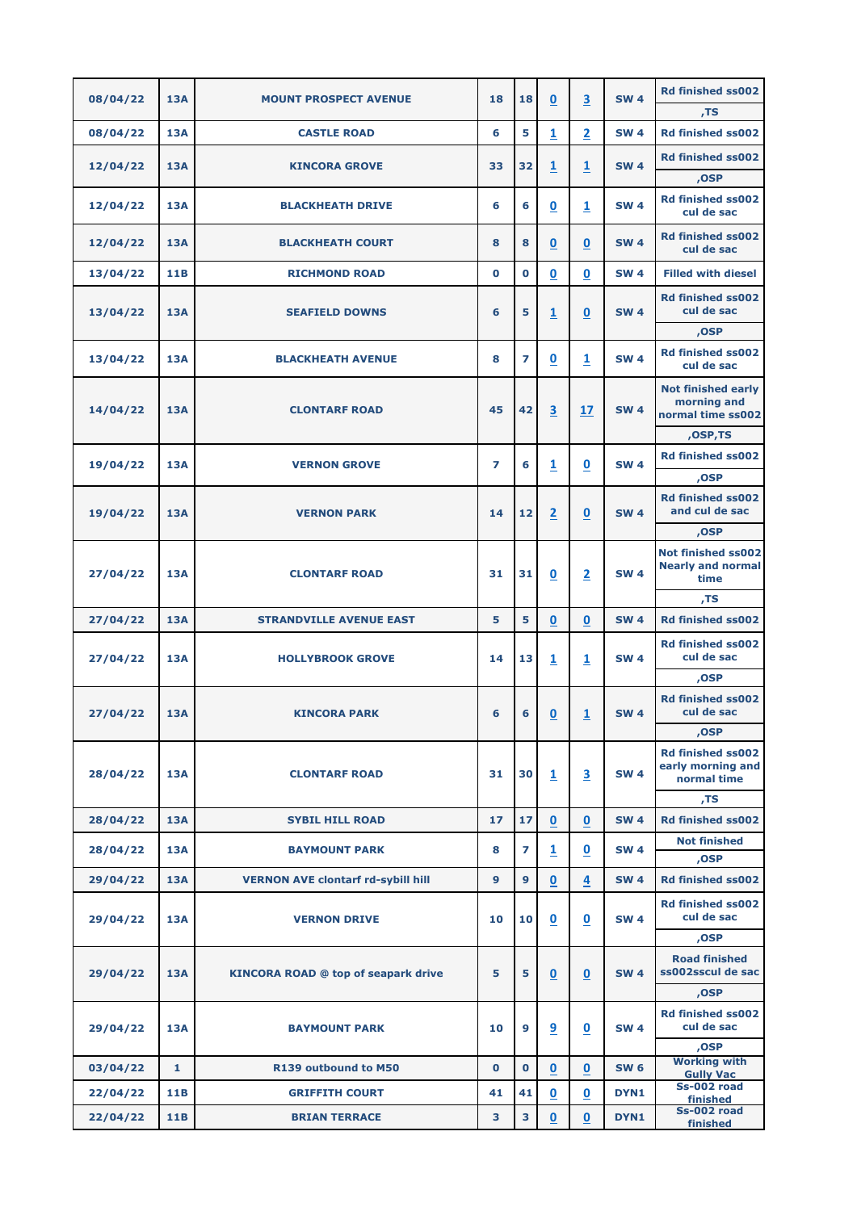| 08/04/22 | <b>13A</b>   | <b>MOUNT PROSPECT AVENUE</b>               | 18           | 18             | $\underline{\mathbf{0}}$ | $\overline{\mathbf{3}}$  | <b>SW 4</b> | <b>Rd finished ss002</b>                                      |
|----------|--------------|--------------------------------------------|--------------|----------------|--------------------------|--------------------------|-------------|---------------------------------------------------------------|
|          |              |                                            |              |                |                          |                          |             | , <sub>TS</sub>                                               |
| 08/04/22 | <b>13A</b>   | <b>CASTLE ROAD</b>                         | 6            | 5              | $\overline{1}$           | $\overline{2}$           | <b>SW 4</b> | <b>Rd finished ss002</b>                                      |
| 12/04/22 | <b>13A</b>   | <b>KINCORA GROVE</b>                       | 33           | 32             | $\overline{\mathbf{1}}$  | $\overline{\mathbf{1}}$  | <b>SW 4</b> | <b>Rd finished ss002</b>                                      |
|          |              |                                            |              |                |                          |                          |             | ,OSP                                                          |
| 12/04/22 | <b>13A</b>   | <b>BLACKHEATH DRIVE</b>                    | 6            | 6              | $\underline{\mathbf{0}}$ | $\overline{\mathbf{1}}$  | <b>SW 4</b> | <b>Rd finished ss002</b><br>cul de sac                        |
| 12/04/22 | <b>13A</b>   | <b>BLACKHEATH COURT</b>                    | 8            | 8              | $\underline{\mathbf{0}}$ | $\overline{\mathbf{0}}$  | <b>SW 4</b> | <b>Rd finished ss002</b><br>cul de sac                        |
| 13/04/22 | 11B          | <b>RICHMOND ROAD</b>                       | $\mathbf 0$  | $\mathbf 0$    | $\overline{\mathbf{0}}$  | $\bf{0}$                 | <b>SW4</b>  | <b>Filled with diesel</b>                                     |
| 13/04/22 | <b>13A</b>   | <b>SEAFIELD DOWNS</b>                      | 6            | 5              | $\overline{1}$           | $\boldsymbol{0}$         | <b>SW 4</b> | <b>Rd finished ss002</b><br>cul de sac                        |
|          |              |                                            |              |                |                          |                          |             | ,OSP                                                          |
| 13/04/22 | <b>13A</b>   | <b>BLACKHEATH AVENUE</b>                   | 8            | 7              | $\overline{\mathbf{0}}$  | $\mathbf{1}$             | <b>SW 4</b> | <b>Rd finished ss002</b><br>cul de sac                        |
| 14/04/22 | <b>13A</b>   | <b>CLONTARF ROAD</b>                       | 45           | 42             | $\overline{\mathbf{3}}$  | 17                       | <b>SW 4</b> | <b>Not finished early</b><br>morning and<br>normal time ss002 |
|          |              |                                            |              |                |                          |                          |             | ,OSP,TS                                                       |
| 19/04/22 | <b>13A</b>   | <b>VERNON GROVE</b>                        | 7            | 6              | $\overline{1}$           | $\underline{\mathbf{0}}$ | <b>SW 4</b> | <b>Rd finished ss002</b>                                      |
|          |              |                                            |              |                |                          |                          |             | ,OSP<br><b>Rd finished ss002</b>                              |
| 19/04/22 | <b>13A</b>   | <b>VERNON PARK</b>                         | 14           | 12             | $\overline{2}$           | $\overline{\mathbf{0}}$  | <b>SW 4</b> | and cul de sac                                                |
|          |              |                                            |              |                |                          |                          |             | ,OSP                                                          |
| 27/04/22 | <b>13A</b>   | <b>CLONTARF ROAD</b>                       | 31           | 31             | $\underline{\mathbf{0}}$ | $\overline{2}$           | <b>SW 4</b> | Not finished ss002<br><b>Nearly and normal</b><br>time        |
|          |              |                                            |              |                |                          |                          |             | ,TS                                                           |
| 27/04/22 | <b>13A</b>   | <b>STRANDVILLE AVENUE EAST</b>             | 5            | 5              | $\mathbf 0$              | $\bf{0}$                 | <b>SW 4</b> | <b>Rd finished ss002</b>                                      |
| 27/04/22 | 13A          | <b>HOLLYBROOK GROVE</b>                    | 14           | 13             | $\mathbf{1}$             | 1                        | <b>SW 4</b> | <b>Rd finished ss002</b><br>cul de sac                        |
|          |              |                                            |              |                |                          |                          |             | ,OSP                                                          |
| 27/04/22 | 13A          | <b>KINCORA PARK</b>                        | 6            | 6              | $\underline{\mathbf{0}}$ | $\overline{1}$           | <b>SW 4</b> | <b>Rd finished ss002</b><br>cul de sac                        |
|          |              |                                            |              |                |                          |                          |             | ,OSP                                                          |
| 28/04/22 | <b>13A</b>   | <b>CLONTARF ROAD</b>                       | 31           | 30             | $\overline{1}$           | 3                        | <b>SW 4</b> | <b>Rd finished ss002</b><br>early morning and<br>normal time  |
|          |              |                                            |              |                |                          |                          |             | TS,                                                           |
| 28/04/22 | 13A          | <b>SYBIL HILL ROAD</b>                     | $17$         | 17             | $\mathbf 0$              | $\bf{0}$                 | <b>SW 4</b> | <b>Rd finished ss002</b>                                      |
| 28/04/22 | <b>13A</b>   | <b>BAYMOUNT PARK</b>                       | 8            | $\overline{ }$ | $\overline{1}$           | $\mathbf 0$              | <b>SW 4</b> | <b>Not finished</b><br>,OSP                                   |
| 29/04/22 | <b>13A</b>   | <b>VERNON AVE clontarf rd-sybill hill</b>  | $\mathbf{9}$ | $\mathbf{9}$   | $\overline{\mathbf{0}}$  | 4                        | <b>SW 4</b> | <b>Rd finished ss002</b>                                      |
| 29/04/22 | <b>13A</b>   | <b>VERNON DRIVE</b>                        | 10           | 10             | $\underline{\mathbf{0}}$ | $\underline{\mathbf{0}}$ | <b>SW 4</b> | <b>Rd finished ss002</b><br>cul de sac                        |
|          |              |                                            |              |                |                          |                          |             | ,OSP                                                          |
| 29/04/22 | <b>13A</b>   | <b>KINCORA ROAD @ top of seapark drive</b> | 5            | 5              | $\mathbf 0$              | $\mathbf 0$              | <b>SW 4</b> | <b>Road finished</b><br>ss002sscul de sac                     |
|          |              |                                            |              |                |                          |                          |             | ,OSP                                                          |
| 29/04/22 | <b>13A</b>   | <b>BAYMOUNT PARK</b>                       | 10           | 9              | 9                        | $\overline{\mathbf{0}}$  | <b>SW 4</b> | <b>Rd finished ss002</b><br>cul de sac                        |
|          |              |                                            |              |                |                          |                          |             | ,OSP<br><b>Working with</b>                                   |
| 03/04/22 | $\mathbf{1}$ | R139 outbound to M50                       | $\mathbf{0}$ | $\mathbf 0$    | $\mathbf 0$              | $\mathbf 0$              | <b>SW 6</b> | <b>Gully Vac</b><br>Ss-002 road                               |
| 22/04/22 | 11B          | <b>GRIFFITH COURT</b>                      | 41           | 41             | $\overline{\mathbf{0}}$  | $\overline{\mathbf{0}}$  | DYN1        | finished                                                      |
| 22/04/22 | <b>11B</b>   | <b>BRIAN TERRACE</b>                       | 3            | 3              | $\bf{0}$                 | $\pmb{0}$                | DYN1        | <b>Ss-002 road</b><br>finished                                |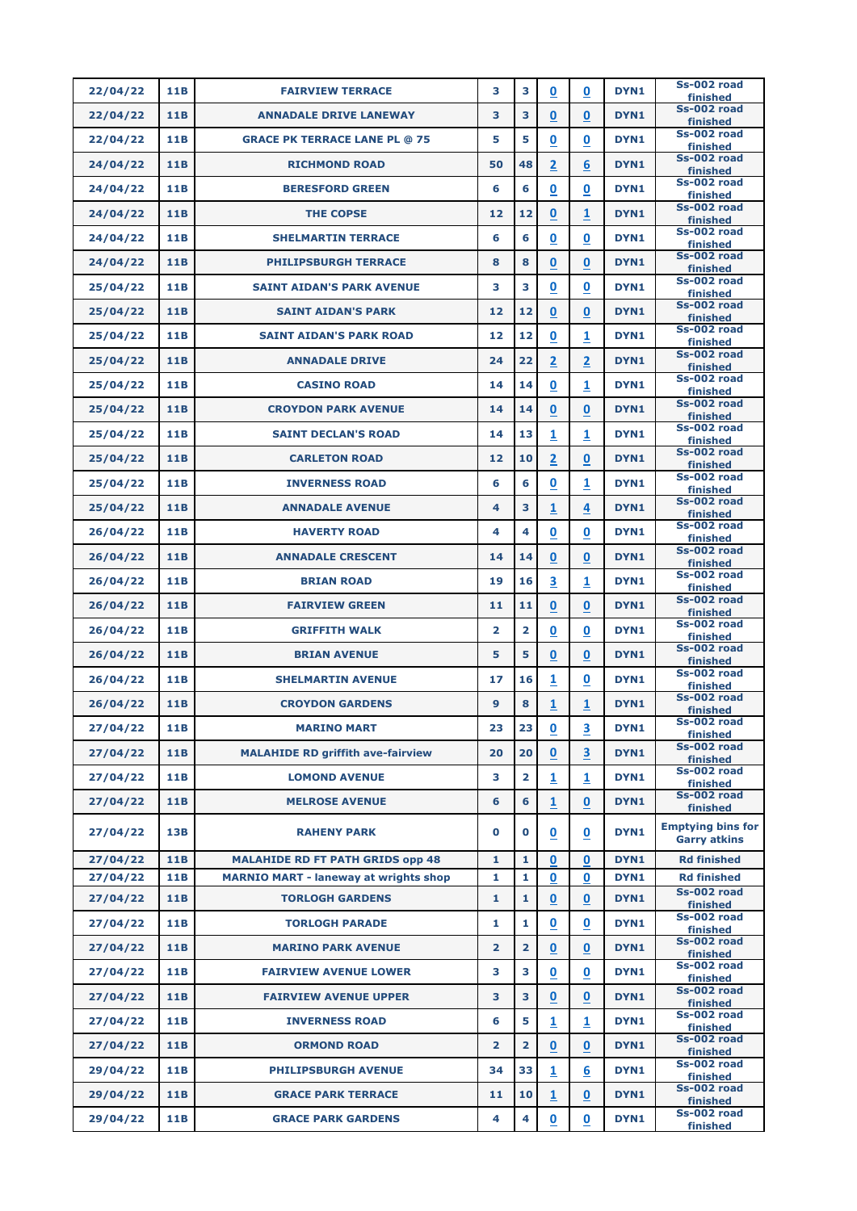| Ss-002 road<br>22/04/22<br>11B<br>3<br>3<br>$\mathbf 0$<br>DYN1<br><b>FAIRVIEW TERRACE</b><br>$\mathbf 0$<br>finished<br>Ss-002 road<br>3<br>$\boldsymbol{0}$<br>11B<br>3<br>0<br>DYN1<br>22/04/22<br><b>ANNADALE DRIVE LANEWAY</b><br>finished<br>Ss-002 road<br>11B<br>5<br>22/04/22<br><b>GRACE PK TERRACE LANE PL @ 75</b><br>5<br>$\overline{\mathbf{0}}$<br>$\bf{0}$<br>DYN <sub>1</sub><br>finished<br>Ss-002 road<br>$\overline{\mathbf{2}}$<br>6<br>48<br>DYN1<br>24/04/22<br>11B<br>50<br><b>RICHMOND ROAD</b><br>finished<br>Ss-002 road<br>24/04/22<br>11B<br>6<br>6<br>$\overline{\mathbf{0}}$<br>$\mathbf 0$<br>DYN1<br><b>BERESFORD GREEN</b><br>finished<br>Ss-002 road<br>$\boldsymbol{0}$<br>24/04/22<br>11B<br>12<br>12<br>1<br>DYN1<br><b>THE COPSE</b><br>finished<br>Ss-002 road<br>6<br>6<br>$\mathbf 0$<br>DYN1<br>24/04/22<br>11B<br><b>SHELMARTIN TERRACE</b><br>0<br>finished<br>Ss-002 road<br>$\overline{\mathbf{0}}$<br>$\mathbf 0$<br>11B<br>8<br>8<br>DYN1<br>24/04/22<br><b>PHILIPSBURGH TERRACE</b><br>finished<br>Ss-002 road<br>11B<br>3<br>3<br>$\underline{\mathbf{0}}$<br>$\overline{\mathbf{0}}$<br>DYN <sub>1</sub><br>25/04/22<br><b>SAINT AIDAN'S PARK AVENUE</b><br>finished<br>Ss-002 road<br>$\bf{0}$<br>$\mathbf 0$<br>11B<br>12<br>12<br>DYN1<br>25/04/22<br><b>SAINT AIDAN'S PARK</b><br>finished |  |
|----------------------------------------------------------------------------------------------------------------------------------------------------------------------------------------------------------------------------------------------------------------------------------------------------------------------------------------------------------------------------------------------------------------------------------------------------------------------------------------------------------------------------------------------------------------------------------------------------------------------------------------------------------------------------------------------------------------------------------------------------------------------------------------------------------------------------------------------------------------------------------------------------------------------------------------------------------------------------------------------------------------------------------------------------------------------------------------------------------------------------------------------------------------------------------------------------------------------------------------------------------------------------------------------------------------------------------------------------|--|
|                                                                                                                                                                                                                                                                                                                                                                                                                                                                                                                                                                                                                                                                                                                                                                                                                                                                                                                                                                                                                                                                                                                                                                                                                                                                                                                                                    |  |
|                                                                                                                                                                                                                                                                                                                                                                                                                                                                                                                                                                                                                                                                                                                                                                                                                                                                                                                                                                                                                                                                                                                                                                                                                                                                                                                                                    |  |
|                                                                                                                                                                                                                                                                                                                                                                                                                                                                                                                                                                                                                                                                                                                                                                                                                                                                                                                                                                                                                                                                                                                                                                                                                                                                                                                                                    |  |
|                                                                                                                                                                                                                                                                                                                                                                                                                                                                                                                                                                                                                                                                                                                                                                                                                                                                                                                                                                                                                                                                                                                                                                                                                                                                                                                                                    |  |
|                                                                                                                                                                                                                                                                                                                                                                                                                                                                                                                                                                                                                                                                                                                                                                                                                                                                                                                                                                                                                                                                                                                                                                                                                                                                                                                                                    |  |
|                                                                                                                                                                                                                                                                                                                                                                                                                                                                                                                                                                                                                                                                                                                                                                                                                                                                                                                                                                                                                                                                                                                                                                                                                                                                                                                                                    |  |
|                                                                                                                                                                                                                                                                                                                                                                                                                                                                                                                                                                                                                                                                                                                                                                                                                                                                                                                                                                                                                                                                                                                                                                                                                                                                                                                                                    |  |
|                                                                                                                                                                                                                                                                                                                                                                                                                                                                                                                                                                                                                                                                                                                                                                                                                                                                                                                                                                                                                                                                                                                                                                                                                                                                                                                                                    |  |
|                                                                                                                                                                                                                                                                                                                                                                                                                                                                                                                                                                                                                                                                                                                                                                                                                                                                                                                                                                                                                                                                                                                                                                                                                                                                                                                                                    |  |
|                                                                                                                                                                                                                                                                                                                                                                                                                                                                                                                                                                                                                                                                                                                                                                                                                                                                                                                                                                                                                                                                                                                                                                                                                                                                                                                                                    |  |
| Ss-002 road<br>12<br>25/04/22<br>11B<br>12<br>$\boldsymbol{0}$<br>1<br>DYN <sub>1</sub><br><b>SAINT AIDAN'S PARK ROAD</b><br>finished                                                                                                                                                                                                                                                                                                                                                                                                                                                                                                                                                                                                                                                                                                                                                                                                                                                                                                                                                                                                                                                                                                                                                                                                              |  |
| Ss-002 road<br>$\overline{2}$<br>$\overline{2}$<br>DYN1<br>11B<br>24<br>22<br>25/04/22<br><b>ANNADALE DRIVE</b><br>finished                                                                                                                                                                                                                                                                                                                                                                                                                                                                                                                                                                                                                                                                                                                                                                                                                                                                                                                                                                                                                                                                                                                                                                                                                        |  |
| Ss-002 road<br>0<br>1<br>DYN1<br>25/04/22<br>11B<br>14<br>14<br><b>CASINO ROAD</b><br>finished                                                                                                                                                                                                                                                                                                                                                                                                                                                                                                                                                                                                                                                                                                                                                                                                                                                                                                                                                                                                                                                                                                                                                                                                                                                     |  |
| Ss-002 road<br>11B<br>14<br>14<br>0<br>$\mathbf 0$<br>DYN1<br>25/04/22<br><b>CROYDON PARK AVENUE</b><br>finished                                                                                                                                                                                                                                                                                                                                                                                                                                                                                                                                                                                                                                                                                                                                                                                                                                                                                                                                                                                                                                                                                                                                                                                                                                   |  |
| Ss-002 road<br>1<br>1<br>DYN1<br>11B<br>14<br>13<br>25/04/22<br><b>SAINT DECLAN'S ROAD</b><br>finished                                                                                                                                                                                                                                                                                                                                                                                                                                                                                                                                                                                                                                                                                                                                                                                                                                                                                                                                                                                                                                                                                                                                                                                                                                             |  |
| Ss-002 road<br>$\overline{2}$<br>DYN1<br>25/04/22<br>11B<br>12<br>10<br>$\mathbf 0$<br><b>CARLETON ROAD</b><br>finished                                                                                                                                                                                                                                                                                                                                                                                                                                                                                                                                                                                                                                                                                                                                                                                                                                                                                                                                                                                                                                                                                                                                                                                                                            |  |
| Ss-002 road<br>6<br>$\boldsymbol{0}$<br>1<br>11B<br>6<br>DYN <sub>1</sub><br>25/04/22<br><b>INVERNESS ROAD</b><br>finished                                                                                                                                                                                                                                                                                                                                                                                                                                                                                                                                                                                                                                                                                                                                                                                                                                                                                                                                                                                                                                                                                                                                                                                                                         |  |
| Ss-002 road<br>11B<br>3<br>$\overline{\mathbf{1}}$<br>DYN1<br>25/04/22<br><b>ANNADALE AVENUE</b><br>4<br>4<br>finished                                                                                                                                                                                                                                                                                                                                                                                                                                                                                                                                                                                                                                                                                                                                                                                                                                                                                                                                                                                                                                                                                                                                                                                                                             |  |
| Ss-002 road<br>4<br>0<br>$\bf{0}$<br>DYN1<br>26/04/22<br>11B<br><b>HAVERTY ROAD</b><br>4<br>finished                                                                                                                                                                                                                                                                                                                                                                                                                                                                                                                                                                                                                                                                                                                                                                                                                                                                                                                                                                                                                                                                                                                                                                                                                                               |  |
| Ss-002 road<br><b>11B</b><br>14<br>14<br>$\bf{0}$<br>$\mathbf 0$<br>DYN1<br>26/04/22<br><b>ANNADALE CRESCENT</b><br>finished                                                                                                                                                                                                                                                                                                                                                                                                                                                                                                                                                                                                                                                                                                                                                                                                                                                                                                                                                                                                                                                                                                                                                                                                                       |  |
| Ss-002 road<br>$\overline{\mathbf{3}}$<br>1<br>11B<br>19<br>16<br>DYN1<br>26/04/22<br><b>BRIAN ROAD</b><br>finished                                                                                                                                                                                                                                                                                                                                                                                                                                                                                                                                                                                                                                                                                                                                                                                                                                                                                                                                                                                                                                                                                                                                                                                                                                |  |
| Ss-002 road<br>11<br><b>DYN1</b><br>26/04/22<br>11 <sub>B</sub><br>11<br>0<br>$\bf{0}$<br><b>FAIRVIEW GREEN</b><br>finished                                                                                                                                                                                                                                                                                                                                                                                                                                                                                                                                                                                                                                                                                                                                                                                                                                                                                                                                                                                                                                                                                                                                                                                                                        |  |
| <b>Ss-002 road</b><br>$\overline{\mathbf{2}}$<br>$\mathbf 0$<br>26/04/22<br>11B<br>$\overline{2}$<br>$\mathbf 0$<br>DYN1<br><b>GRIFFITH WALK</b><br>finished                                                                                                                                                                                                                                                                                                                                                                                                                                                                                                                                                                                                                                                                                                                                                                                                                                                                                                                                                                                                                                                                                                                                                                                       |  |
| Ss-002 road<br>5<br>5<br>$\underline{\mathbf{0}}$<br>DYN1<br>26/04/22<br><b>11B</b><br>$\mathbf 0$<br><b>BRIAN AVENUE</b><br>finished                                                                                                                                                                                                                                                                                                                                                                                                                                                                                                                                                                                                                                                                                                                                                                                                                                                                                                                                                                                                                                                                                                                                                                                                              |  |
| Ss-002 road<br>DYN1<br>26/04/22<br>11B<br>16<br>1<br>$\bf{0}$<br><b>SHELMARTIN AVENUE</b><br>17<br>finished                                                                                                                                                                                                                                                                                                                                                                                                                                                                                                                                                                                                                                                                                                                                                                                                                                                                                                                                                                                                                                                                                                                                                                                                                                        |  |
| Ss-002 road<br><b>11B</b><br>8<br>$\mathbf{1}$<br>26/04/22<br>9<br>$\mathbf{1}$<br>DYN1<br><b>CROYDON GARDENS</b><br>finished                                                                                                                                                                                                                                                                                                                                                                                                                                                                                                                                                                                                                                                                                                                                                                                                                                                                                                                                                                                                                                                                                                                                                                                                                      |  |
| Ss-002 road<br>$\overline{\mathbf{3}}$<br>$\underline{\mathbf{0}}$<br>23<br>DYN1<br>27/04/22<br><b>11B</b><br><b>MARINO MART</b><br>23<br>finished                                                                                                                                                                                                                                                                                                                                                                                                                                                                                                                                                                                                                                                                                                                                                                                                                                                                                                                                                                                                                                                                                                                                                                                                 |  |
| Ss-002 road<br>$\overline{\mathbf{0}}$<br>3<br>11B<br>20<br>DYN1<br>27/04/22<br><b>MALAHIDE RD griffith ave-fairview</b><br>20<br>finished                                                                                                                                                                                                                                                                                                                                                                                                                                                                                                                                                                                                                                                                                                                                                                                                                                                                                                                                                                                                                                                                                                                                                                                                         |  |
| <b>Ss-002 road</b><br><b>11B</b><br>$\mathbf{1}$<br>3<br>$\overline{\mathbf{2}}$<br>$\mathbf{1}$<br>DYN1<br>27/04/22<br><b>LOMOND AVENUE</b><br>finished                                                                                                                                                                                                                                                                                                                                                                                                                                                                                                                                                                                                                                                                                                                                                                                                                                                                                                                                                                                                                                                                                                                                                                                           |  |
| Ss-002 road<br>6<br>$\mathbf{1}$<br>$\mathbf 0$<br>DYN1<br>27/04/22<br><b>11B</b><br>6<br><b>MELROSE AVENUE</b><br>finished                                                                                                                                                                                                                                                                                                                                                                                                                                                                                                                                                                                                                                                                                                                                                                                                                                                                                                                                                                                                                                                                                                                                                                                                                        |  |
| <b>Emptying bins for</b><br>$\mathbf 0$<br>13B<br>$\underline{\mathbf{0}}$<br>$\overline{\mathbf{0}}$<br>DYN1<br>27/04/22<br>0<br><b>RAHENY PARK</b><br><b>Garry atkins</b>                                                                                                                                                                                                                                                                                                                                                                                                                                                                                                                                                                                                                                                                                                                                                                                                                                                                                                                                                                                                                                                                                                                                                                        |  |
| <b>11B</b><br>$\mathbf 0$<br>$\mathbf{0}$<br>DYN1<br><b>Rd finished</b><br>27/04/22<br><b>MALAHIDE RD FT PATH GRIDS opp 48</b><br>1<br>1                                                                                                                                                                                                                                                                                                                                                                                                                                                                                                                                                                                                                                                                                                                                                                                                                                                                                                                                                                                                                                                                                                                                                                                                           |  |
| $\mathbf 0$<br><b>11B</b><br>1<br>$\mathbf 0$<br>DYN1<br><b>MARNIO MART - laneway at wrights shop</b><br>1<br><b>Rd finished</b><br>27/04/22<br>Ss-002 road                                                                                                                                                                                                                                                                                                                                                                                                                                                                                                                                                                                                                                                                                                                                                                                                                                                                                                                                                                                                                                                                                                                                                                                        |  |
| $\pmb{0}$<br>11B<br>$\mathbf{1}$<br>$\mathbf 0$<br>DYN1<br>27/04/22<br><b>TORLOGH GARDENS</b><br>1<br>finished<br>Ss-002 road                                                                                                                                                                                                                                                                                                                                                                                                                                                                                                                                                                                                                                                                                                                                                                                                                                                                                                                                                                                                                                                                                                                                                                                                                      |  |
| 11B<br>$\mathbf{1}$<br>$\mathbf 0$<br>27/04/22<br>1<br>$\mathbf 0$<br>DYN1<br><b>TORLOGH PARADE</b><br>finished<br>Ss-002 road                                                                                                                                                                                                                                                                                                                                                                                                                                                                                                                                                                                                                                                                                                                                                                                                                                                                                                                                                                                                                                                                                                                                                                                                                     |  |
| $\mathbf 0$<br>11B<br>$\overline{2}$<br>$\mathbf 0$<br>DYN1<br>27/04/22<br>$\overline{2}$<br><b>MARINO PARK AVENUE</b><br>finished<br>Ss-002 road                                                                                                                                                                                                                                                                                                                                                                                                                                                                                                                                                                                                                                                                                                                                                                                                                                                                                                                                                                                                                                                                                                                                                                                                  |  |
| 3<br>11B<br>$\overline{\mathbf{0}}$<br>$\mathbf 0$<br>DYN1<br>27/04/22<br><b>FAIRVIEW AVENUE LOWER</b><br>з<br>finished<br>Ss-002 road                                                                                                                                                                                                                                                                                                                                                                                                                                                                                                                                                                                                                                                                                                                                                                                                                                                                                                                                                                                                                                                                                                                                                                                                             |  |
| $\mathbf 0$<br>11B<br>3<br>$\mathbf 0$<br>27/04/22<br>3<br>DYN1<br><b>FAIRVIEW AVENUE UPPER</b><br>finished                                                                                                                                                                                                                                                                                                                                                                                                                                                                                                                                                                                                                                                                                                                                                                                                                                                                                                                                                                                                                                                                                                                                                                                                                                        |  |
| <b>Ss-002 road</b><br>11B<br>6<br>5<br>$\overline{\mathbf{1}}$<br>DYN1<br>27/04/22<br>1<br><b>INVERNESS ROAD</b><br>finished                                                                                                                                                                                                                                                                                                                                                                                                                                                                                                                                                                                                                                                                                                                                                                                                                                                                                                                                                                                                                                                                                                                                                                                                                       |  |
| Ss-002 road<br>11B<br>$\overline{2}$<br>$\overline{\mathbf{0}}$<br>$\mathbf 0$<br>DYN1<br>27/04/22<br><b>ORMOND ROAD</b><br>$\overline{2}$<br>finished                                                                                                                                                                                                                                                                                                                                                                                                                                                                                                                                                                                                                                                                                                                                                                                                                                                                                                                                                                                                                                                                                                                                                                                             |  |
| Ss-002 road<br>33<br>$\overline{\mathbf{1}}$<br>29/04/22<br>11B<br>34<br>$6\phantom{1}6$<br>DYN1<br><b>PHILIPSBURGH AVENUE</b><br>finished                                                                                                                                                                                                                                                                                                                                                                                                                                                                                                                                                                                                                                                                                                                                                                                                                                                                                                                                                                                                                                                                                                                                                                                                         |  |
|                                                                                                                                                                                                                                                                                                                                                                                                                                                                                                                                                                                                                                                                                                                                                                                                                                                                                                                                                                                                                                                                                                                                                                                                                                                                                                                                                    |  |
| Ss-002 road<br><b>11B</b><br>DYN1<br>29/04/22<br>11<br>10<br>$\mathbf{1}$<br>$\bf{0}$<br><b>GRACE PARK TERRACE</b><br>finished<br><b>Ss-002 road</b>                                                                                                                                                                                                                                                                                                                                                                                                                                                                                                                                                                                                                                                                                                                                                                                                                                                                                                                                                                                                                                                                                                                                                                                               |  |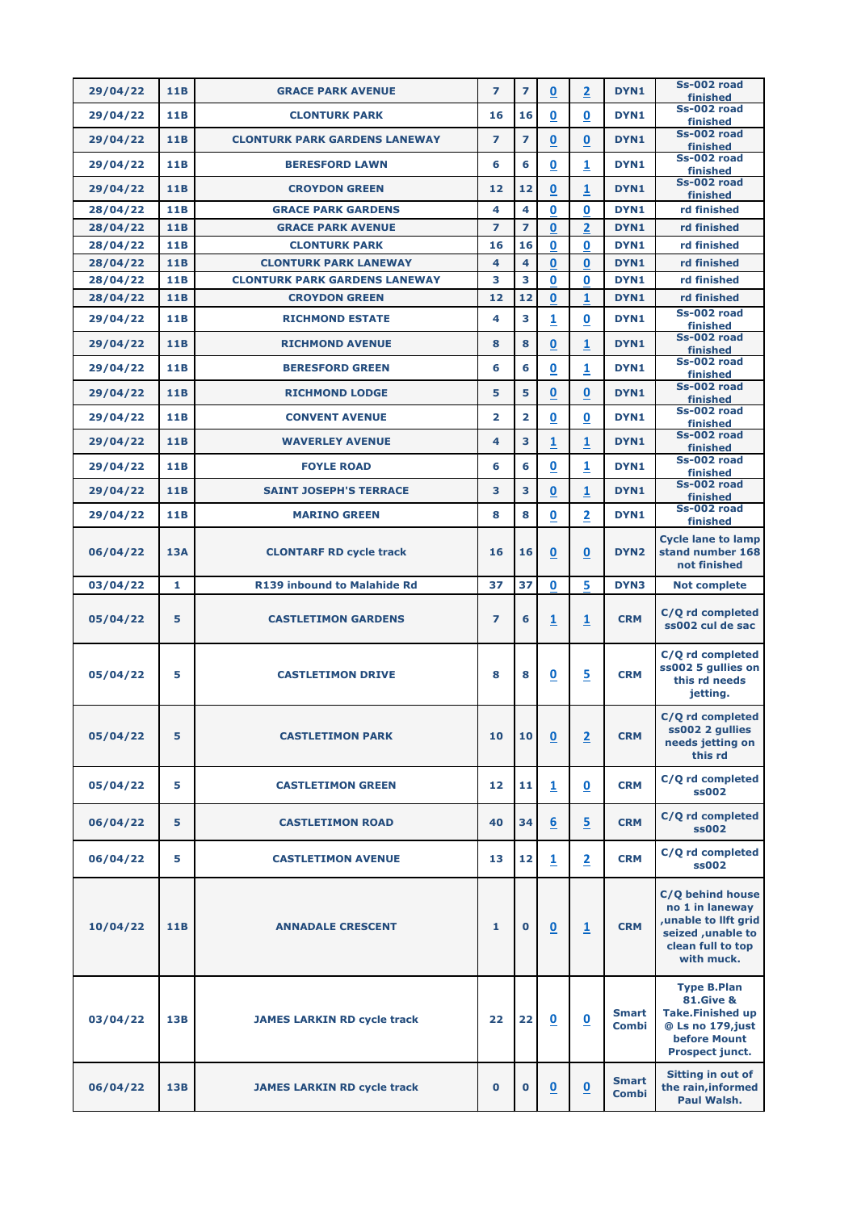| 29/04/22             | 11B                      | <b>GRACE PARK AVENUE</b>                         | $\overline{ }$ | $\overline{\mathbf{z}}$ | $\mathbf 0$              | $\overline{2}$               | DYN1                         | Ss-002 road<br>finished                                                                                                                     |
|----------------------|--------------------------|--------------------------------------------------|----------------|-------------------------|--------------------------|------------------------------|------------------------------|---------------------------------------------------------------------------------------------------------------------------------------------|
| 29/04/22             | <b>11B</b>               | <b>CLONTURK PARK</b>                             | 16             | 16                      | 0                        | $\mathbf 0$                  | DYN1                         | Ss-002 road<br>finished                                                                                                                     |
| 29/04/22             | <b>11B</b>               | <b>CLONTURK PARK GARDENS LANEWAY</b>             | 7              | $\overline{ }$          | 0                        | $\mathbf 0$                  | DYN1                         | Ss-002 road                                                                                                                                 |
| 29/04/22             | 11B                      | <b>BERESFORD LAWN</b>                            | 6              | 6                       | 0                        | 1                            | DYN1                         | finished<br>Ss-002 road                                                                                                                     |
|                      |                          |                                                  |                |                         |                          |                              |                              | finished<br>Ss-002 road                                                                                                                     |
| 29/04/22             | <b>11B</b>               | <b>CROYDON GREEN</b>                             | 12             | 12                      | 0                        | $\overline{\mathbf{1}}$      | DYN1                         | finished                                                                                                                                    |
| 28/04/22             | <b>11B</b>               | <b>GRACE PARK GARDENS</b>                        | 4              | 4                       | 0                        | 0                            | DYN1                         | rd finished                                                                                                                                 |
| 28/04/22<br>28/04/22 | <b>11B</b><br><b>11B</b> | <b>GRACE PARK AVENUE</b><br><b>CLONTURK PARK</b> | 7<br>16        | $\overline{ }$<br>16    | $\bf{0}$<br>$\bf{0}$     | $\overline{\mathbf{2}}$<br>0 | DYN1<br>DYN1                 | rd finished<br>rd finished                                                                                                                  |
| 28/04/22             | 11B                      | <b>CLONTURK PARK LANEWAY</b>                     | 4              | $\overline{\mathbf{4}}$ | $\mathbf{0}$             | $\bf{0}$                     | DYN1                         | rd finished                                                                                                                                 |
| 28/04/22             | <b>11B</b>               | <b>CLONTURK PARK GARDENS LANEWAY</b>             | 3              | 3                       | 0                        | $\bf{0}$                     | DYN1                         | rd finished                                                                                                                                 |
| 28/04/22             | <b>11B</b>               | <b>CROYDON GREEN</b>                             | 12             | 12                      | $\bf{0}$                 | 1                            | DYN1                         | rd finished                                                                                                                                 |
| 29/04/22             | <b>11B</b>               | <b>RICHMOND ESTATE</b>                           | 4              | 3                       | $\overline{\mathbf{1}}$  | $\mathbf 0$                  | DYN1                         | Ss-002 road<br>finished                                                                                                                     |
| 29/04/22             | <b>11B</b>               | <b>RICHMOND AVENUE</b>                           | 8              | 8                       | 0                        | 1                            | DYN1                         | Ss-002 road<br>finished                                                                                                                     |
| 29/04/22             | <b>11B</b>               | <b>BERESFORD GREEN</b>                           | 6              | 6                       | 0                        | 1                            | DYN1                         | Ss-002 road                                                                                                                                 |
| 29/04/22             | 11 <sub>B</sub>          | <b>RICHMOND LODGE</b>                            | 5              | 5                       | $\overline{\mathbf{0}}$  | $\mathbf 0$                  | DYN1                         | finished<br>Ss-002 road                                                                                                                     |
| 29/04/22             | <b>11B</b>               | <b>CONVENT AVENUE</b>                            | $\overline{2}$ | $\overline{2}$          | 0                        | $\mathbf 0$                  | DYN1                         | finished<br>Ss-002 road                                                                                                                     |
|                      |                          |                                                  | 4              | 3                       |                          |                              |                              | finished<br>Ss-002 road                                                                                                                     |
| 29/04/22             | <b>11B</b>               | <b>WAVERLEY AVENUE</b>                           |                |                         | 1                        | 1                            | DYN1                         | finished<br>Ss-002 road                                                                                                                     |
| 29/04/22             | 11 <sub>B</sub>          | <b>FOYLE ROAD</b>                                | 6              | 6                       | 0                        | 1                            | DYN1                         | finished                                                                                                                                    |
| 29/04/22             | 11B                      | <b>SAINT JOSEPH'S TERRACE</b>                    | 3              | 3                       | $\mathbf 0$              | 1                            | DYN1                         | Ss-002 road<br>finished                                                                                                                     |
| 29/04/22             | 11 <sub>B</sub>          | <b>MARINO GREEN</b>                              | 8              | 8                       | $\overline{\mathbf{0}}$  | $\overline{2}$               | DYN1                         | Ss-002 road<br>finished                                                                                                                     |
| 06/04/22             | <b>13A</b>               | <b>CLONTARF RD cycle track</b>                   | 16             | 16                      | 0                        | $\overline{\mathbf{0}}$      | DYN <sub>2</sub>             | <b>Cycle lane to lamp</b><br>stand number 168<br>not finished                                                                               |
| 03/04/22             | 1                        | <b>R139 inbound to Malahide Rd</b>               | 37             | 37                      | $\bf{0}$                 | 5.                           | DYN3                         | <b>Not complete</b>                                                                                                                         |
| 05/04/22             | 5                        | <b>CASTLETIMON GARDENS</b>                       | 7              | 6                       | $\overline{\mathbf{1}}$  | $\overline{\mathbf{1}}$      | <b>CRM</b>                   | C/Q rd completed<br>ss002 cul de sac                                                                                                        |
| 05/04/22             | 5                        | <b>CASTLETIMON DRIVE</b>                         | 8              | 8                       | $\mathbf 0$              | $\overline{5}$               | <b>CRM</b>                   | C/Q rd completed<br>ss002 5 gullies on<br>this rd needs<br>jetting.                                                                         |
| 05/04/22             | 5                        | <b>CASTLETIMON PARK</b>                          | 10             | 10                      | $\overline{\mathbf{0}}$  | $\overline{2}$               | <b>CRM</b>                   | C/Q rd completed<br>ss002 2 gullies<br>needs jetting on<br>this rd                                                                          |
| 05/04/22             | 5                        | <b>CASTLETIMON GREEN</b>                         | 12             | 11                      | 1                        | $\mathbf 0$                  | <b>CRM</b>                   | C/Q rd completed<br>ss002                                                                                                                   |
| 06/04/22             | 5                        | <b>CASTLETIMON ROAD</b>                          | 40             | 34                      | $6 \overline{}$          | $\overline{5}$               | <b>CRM</b>                   | C/Q rd completed<br>ss002                                                                                                                   |
| 06/04/22             | 5                        | <b>CASTLETIMON AVENUE</b>                        | 13             | 12                      | $\overline{\mathbf{1}}$  | $\overline{2}$               | <b>CRM</b>                   | C/Q rd completed<br>ss002                                                                                                                   |
| 10/04/22             | <b>11B</b>               | <b>ANNADALE CRESCENT</b>                         | 1              | $\mathbf 0$             | $\overline{\mathbf{0}}$  | $\overline{1}$               | <b>CRM</b>                   | C/Q behind house<br>no 1 in laneway<br>unable to lift grid<br>seized , unable to<br>clean full to top<br>with muck.                         |
| 03/04/22             | 13B                      | <b>JAMES LARKIN RD cycle track</b>               | 22             | 22                      | $\mathbf 0$              | $\overline{\mathbf{0}}$      | <b>Smart</b><br><b>Combi</b> | <b>Type B.Plan</b><br><b>81.Give &amp;</b><br><b>Take.Finished up</b><br>@ Ls no 179, just<br><b>before Mount</b><br><b>Prospect junct.</b> |
| 06/04/22             | 13B                      | <b>JAMES LARKIN RD cycle track</b>               | 0              | $\bf{0}$                | $\underline{\mathbf{0}}$ | $\underline{\mathbf{0}}$     | <b>Smart</b><br><b>Combi</b> | Sitting in out of<br>the rain, informed<br>Paul Walsh.                                                                                      |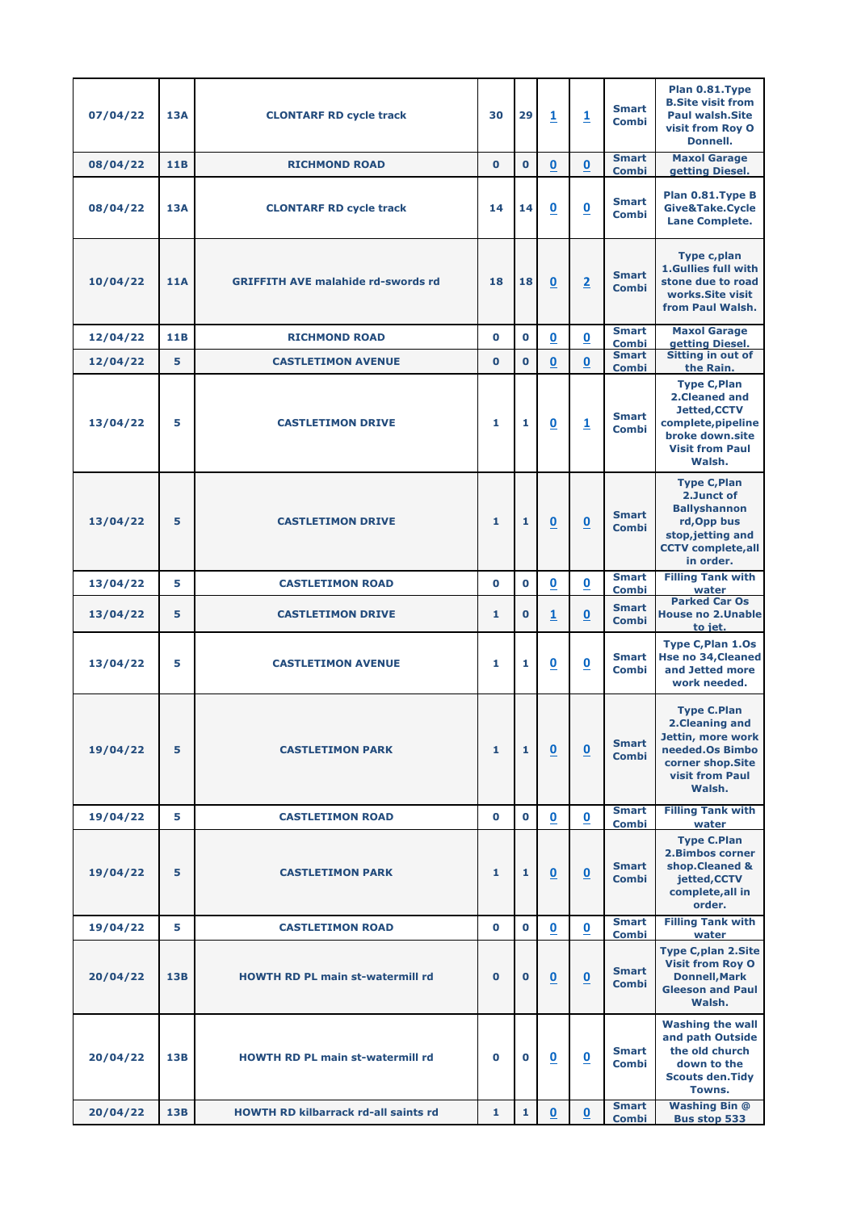| 07/04/22 | <b>13A</b> | <b>CLONTARF RD cycle track</b>              | 30           | 29           | $\overline{\mathbf{1}}$  | $\overline{\mathbf{1}}$  | <b>Smart</b><br>Combi        | Plan 0.81.Type<br><b>B.Site visit from</b><br><b>Paul walsh.Site</b><br>visit from Roy O<br><b>Donnell.</b>                               |
|----------|------------|---------------------------------------------|--------------|--------------|--------------------------|--------------------------|------------------------------|-------------------------------------------------------------------------------------------------------------------------------------------|
| 08/04/22 | 11B        | <b>RICHMOND ROAD</b>                        | $\mathbf{0}$ | $\mathbf{O}$ | $\pmb{0}$                | $\pmb{0}$                | <b>Smart</b><br><b>Combi</b> | <b>Maxol Garage</b><br>getting Diesel.                                                                                                    |
| 08/04/22 | <b>13A</b> | <b>CLONTARF RD cycle track</b>              | 14           | 14           | $\boldsymbol{0}$         | $\overline{\mathbf{0}}$  | <b>Smart</b><br><b>Combi</b> | Plan 0.81. Type B<br>Give&Take.Cycle<br><b>Lane Complete.</b>                                                                             |
| 10/04/22 | <b>11A</b> | <b>GRIFFITH AVE malahide rd-swords rd</b>   | 18           | 18           | $\overline{\mathbf{0}}$  | $\overline{2}$           | <b>Smart</b><br><b>Combi</b> | <b>Type c,plan</b><br>1.Gullies full with<br>stone due to road<br>works. Site visit<br>from Paul Walsh.                                   |
| 12/04/22 | <b>11B</b> | <b>RICHMOND ROAD</b>                        | $\mathbf 0$  | $\mathbf 0$  | $\underline{\mathbf{0}}$ | $\underline{\mathbf{0}}$ | <b>Smart</b><br><b>Combi</b> | <b>Maxol Garage</b><br>getting Diesel.                                                                                                    |
| 12/04/22 | 5          | <b>CASTLETIMON AVENUE</b>                   | $\bf{0}$     | $\mathbf 0$  | $\mathbf 0$              | $\mathbf 0$              | <b>Smart</b><br><b>Combi</b> | <b>Sitting in out of</b><br>the Rain.                                                                                                     |
| 13/04/22 | 5          | <b>CASTLETIMON DRIVE</b>                    | 1            | 1            | $\underline{\mathbf{0}}$ | $\overline{\mathbf{1}}$  | <b>Smart</b><br><b>Combi</b> | <b>Type C, Plan</b><br>2. Cleaned and<br><b>Jetted, CCTV</b><br>complete, pipeline<br>broke down.site<br><b>Visit from Paul</b><br>Walsh. |
| 13/04/22 | 5          | <b>CASTLETIMON DRIVE</b>                    | 1            | 1            | $\underline{\mathbf{0}}$ | $\underline{\mathbf{0}}$ | <b>Smart</b><br><b>Combi</b> | <b>Type C, Plan</b><br>2.Junct of<br><b>Ballyshannon</b><br>rd, Opp bus<br>stop, jetting and<br><b>CCTV</b> complete, all<br>in order.    |
| 13/04/22 | 5          | <b>CASTLETIMON ROAD</b>                     | $\mathbf 0$  | $\bf{0}$     | $\overline{\mathbf{0}}$  | $\underline{\mathbf{0}}$ | <b>Smart</b><br><b>Combi</b> | <b>Filling Tank with</b><br>water                                                                                                         |
| 13/04/22 | 5          | <b>CASTLETIMON DRIVE</b>                    | 1            | $\bf{0}$     | $\overline{\mathbf{1}}$  | $\underline{\mathbf{0}}$ | <b>Smart</b><br><b>Combi</b> | <b>Parked Car Os</b><br><b>House no 2. Unable</b><br>to jet.                                                                              |
| 13/04/22 | 5          | <b>CASTLETIMON AVENUE</b>                   | 1            | 1            | $\overline{\mathbf{0}}$  | $\underline{\mathbf{0}}$ | <b>Smart</b><br><b>Combi</b> | <b>Type C, Plan 1.0s</b><br><b>Hse no 34, Cleaned</b><br>and Jetted more<br>work needed.                                                  |
| 19/04/22 | 5          | <b>CASTLETIMON PARK</b>                     | 1            | 1            | $\underline{\mathbf{0}}$ | $\underline{\mathbf{0}}$ | <b>Smart</b><br><b>Combi</b> | <b>Type C.Plan</b><br>2. Cleaning and<br>Jettin, more work<br>needed.Os Bimbo<br>corner shop.Site<br><b>visit from Paul</b><br>Walsh.     |
| 19/04/22 | 5          | <b>CASTLETIMON ROAD</b>                     | $\mathbf 0$  | $\mathbf 0$  | $\overline{\mathbf{0}}$  | $\underline{\mathbf{0}}$ | <b>Smart</b><br><b>Combi</b> | <b>Filling Tank with</b><br>water                                                                                                         |
| 19/04/22 | 5          | <b>CASTLETIMON PARK</b>                     | 1            | $\mathbf{1}$ | $\overline{\mathbf{0}}$  | $\boldsymbol{0}$         | <b>Smart</b><br><b>Combi</b> | <b>Type C.Plan</b><br><b>2.Bimbos corner</b><br>shop.Cleaned &<br>jetted, CCTV<br>complete, all in<br>order.                              |
| 19/04/22 | 5          | <b>CASTLETIMON ROAD</b>                     | $\mathbf 0$  | $\mathbf 0$  | $\boldsymbol{0}$         | $\mathbf 0$              | <b>Smart</b><br><b>Combi</b> | <b>Filling Tank with</b><br>water                                                                                                         |
| 20/04/22 | 13B        | <b>HOWTH RD PL main st-watermill rd</b>     | $\mathbf 0$  | $\mathbf 0$  | $\underline{\mathbf{0}}$ | $\underline{\mathbf{0}}$ | <b>Smart</b><br><b>Combi</b> | <b>Type C,plan 2.Site</b><br><b>Visit from Roy O</b><br><b>Donnell, Mark</b><br><b>Gleeson and Paul</b><br>Walsh.                         |
| 20/04/22 | 13B        | <b>HOWTH RD PL main st-watermill rd</b>     | $\mathbf 0$  | $\mathbf 0$  | $\underline{\mathbf{0}}$ | $\underline{\mathbf{0}}$ | <b>Smart</b><br><b>Combi</b> | <b>Washing the wall</b><br>and path Outside<br>the old church<br>down to the<br><b>Scouts den. Tidy</b><br>Towns.                         |
| 20/04/22 | <b>13B</b> | <b>HOWTH RD kilbarrack rd-all saints rd</b> | $\mathbf{1}$ | $\mathbf{1}$ | $\underline{\mathbf{0}}$ | $\overline{\mathbf{0}}$  | <b>Smart</b><br><b>Combi</b> | <b>Washing Bin @</b><br><b>Bus stop 533</b>                                                                                               |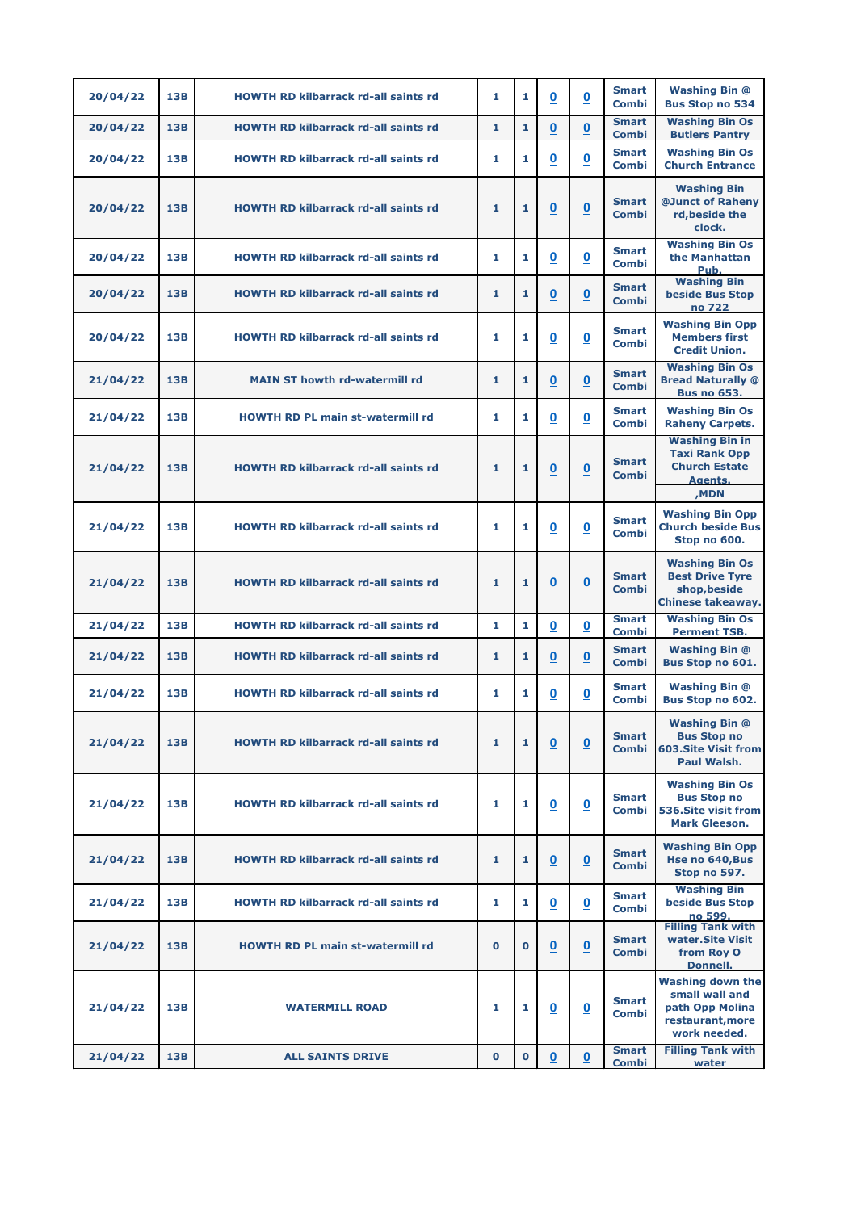| 20/04/22 | <b>13B</b> | <b>HOWTH RD kilbarrack rd-all saints rd</b> | 1            | 1           | $\underline{\mathbf{0}}$ | $\overline{\mathbf{0}}$  | <b>Smart</b><br><b>Combi</b> | <b>Washing Bin @</b><br><b>Bus Stop no 534</b>                                                    |
|----------|------------|---------------------------------------------|--------------|-------------|--------------------------|--------------------------|------------------------------|---------------------------------------------------------------------------------------------------|
| 20/04/22 | <b>13B</b> | <b>HOWTH RD kilbarrack rd-all saints rd</b> | $\mathbf{1}$ | 1           | $\bf{0}$                 | 0                        | <b>Smart</b><br><b>Combi</b> | <b>Washing Bin Os</b><br><b>Butlers Pantry</b>                                                    |
| 20/04/22 | 13B        | <b>HOWTH RD kilbarrack rd-all saints rd</b> | 1            | 1           | $\underline{\mathbf{0}}$ | $\underline{\mathbf{0}}$ | <b>Smart</b><br>Combi        | <b>Washing Bin Os</b><br><b>Church Entrance</b>                                                   |
| 20/04/22 | 13B        | <b>HOWTH RD kilbarrack rd-all saints rd</b> | 1            | 1           | $\overline{\mathbf{0}}$  | $\bf{0}$                 | <b>Smart</b><br><b>Combi</b> | <b>Washing Bin</b><br>@Junct of Raheny<br>rd, beside the<br>clock.                                |
| 20/04/22 | <b>13B</b> | <b>HOWTH RD kilbarrack rd-all saints rd</b> | 1            | 1           | $\overline{\mathbf{0}}$  | $\underline{\mathbf{0}}$ | <b>Smart</b><br>Combi        | <b>Washing Bin Os</b><br>the Manhattan<br>Pub.                                                    |
| 20/04/22 | <b>13B</b> | <b>HOWTH RD kilbarrack rd-all saints rd</b> | 1            | 1           | $\overline{\mathbf{0}}$  | $\overline{\mathbf{0}}$  | <b>Smart</b><br><b>Combi</b> | <b>Washing Bin</b><br><b>beside Bus Stop</b><br>no 722                                            |
| 20/04/22 | 13B        | <b>HOWTH RD kilbarrack rd-all saints rd</b> | 1            | 1           | $\overline{\mathbf{0}}$  | $\overline{\mathbf{0}}$  | <b>Smart</b><br>Combi        | <b>Washing Bin Opp</b><br><b>Members first</b><br><b>Credit Union.</b>                            |
| 21/04/22 | 13B        | <b>MAIN ST howth rd-watermill rd</b>        | 1            | 1           | $\boldsymbol{0}$         | $\mathbf 0$              | <b>Smart</b><br><b>Combi</b> | <b>Washing Bin Os</b><br><b>Bread Naturally @</b><br><b>Bus no 653.</b>                           |
| 21/04/22 | 13B        | <b>HOWTH RD PL main st-watermill rd</b>     | 1            | 1           | $\overline{\mathbf{0}}$  | $\underline{\mathbf{0}}$ | <b>Smart</b><br><b>Combi</b> | <b>Washing Bin Os</b><br><b>Raheny Carpets.</b>                                                   |
| 21/04/22 | <b>13B</b> | <b>HOWTH RD kilbarrack rd-all saints rd</b> | 1            | 1           | $\overline{\mathbf{0}}$  | $\underline{\mathbf{0}}$ | <b>Smart</b><br><b>Combi</b> | <b>Washing Bin in</b><br><b>Taxi Rank Opp</b><br><b>Church Estate</b><br><b>Agents.</b><br>,MDN   |
| 21/04/22 | 13B        | <b>HOWTH RD kilbarrack rd-all saints rd</b> | 1            | 1           | $\overline{\mathbf{0}}$  | $\overline{\mathbf{0}}$  | <b>Smart</b><br><b>Combi</b> | <b>Washing Bin Opp</b><br><b>Church beside Bus</b><br>Stop no 600.                                |
| 21/04/22 | 13B        | <b>HOWTH RD kilbarrack rd-all saints rd</b> | 1            | 1           | $\underline{\mathbf{0}}$ | $\underline{\mathbf{0}}$ | <b>Smart</b><br><b>Combi</b> | <b>Washing Bin Os</b><br><b>Best Drive Tyre</b><br>shop, beside<br><b>Chinese takeaway.</b>       |
| 21/04/22 | <b>13B</b> | <b>HOWTH RD kilbarrack rd-all saints rd</b> | 1            | 1           | $\overline{\mathbf{0}}$  | $\overline{\mathbf{0}}$  | <b>Smart</b><br><b>Combi</b> | <b>Washing Bin Os</b><br><b>Perment TSB.</b>                                                      |
| 21/04/22 | 13B        | <b>HOWTH RD kilbarrack rd-all saints rd</b> | 1            | 1           | $\overline{\mathbf{0}}$  | $\overline{\mathbf{0}}$  | <b>Smart</b><br><b>Combi</b> | <b>Washing Bin @</b><br>Bus Stop no 601.                                                          |
| 21/04/22 | 13B        | <b>HOWTH RD kilbarrack rd-all saints rd</b> | 1            | 1           | $\overline{\mathbf{0}}$  | $\underline{\mathbf{0}}$ | <b>Smart</b><br><b>Combi</b> | <b>Washing Bin @</b><br>Bus Stop no 602.                                                          |
| 21/04/22 | 13B        | <b>HOWTH RD kilbarrack rd-all saints rd</b> | 1            | 1           | $\underline{\mathbf{0}}$ | $\underline{\mathbf{0}}$ | <b>Smart</b><br><b>Combi</b> | <b>Washing Bin @</b><br><b>Bus Stop no</b><br><b>603.Site Visit from</b><br>Paul Walsh.           |
| 21/04/22 | 13B        | <b>HOWTH RD kilbarrack rd-all saints rd</b> | 1            | 1           | $\overline{\mathbf{0}}$  | $\overline{\mathbf{0}}$  | <b>Smart</b><br>Combi        | <b>Washing Bin Os</b><br><b>Bus Stop no</b><br><b>536.Site visit from</b><br><b>Mark Gleeson.</b> |
| 21/04/22 | <b>13B</b> | <b>HOWTH RD kilbarrack rd-all saints rd</b> | 1            | 1           | $\underline{\mathbf{0}}$ | $\underline{\mathbf{0}}$ | <b>Smart</b><br><b>Combi</b> | <b>Washing Bin Opp</b><br>Hse no 640, Bus<br>Stop no 597.                                         |
| 21/04/22 | <b>13B</b> | <b>HOWTH RD kilbarrack rd-all saints rd</b> | 1            | 1           | $\underline{\mathbf{0}}$ | $\underline{\mathbf{0}}$ | <b>Smart</b><br><b>Combi</b> | <b>Washing Bin</b><br><b>beside Bus Stop</b><br>no 599.                                           |
| 21/04/22 | <b>13B</b> | <b>HOWTH RD PL main st-watermill rd</b>     | $\mathbf 0$  | $\bf{0}$    | $\underline{\mathbf{0}}$ | $\underline{\mathbf{0}}$ | <b>Smart</b><br><b>Combi</b> | <b>Filling Tank with</b><br>water.Site Visit<br>from Roy O<br><b>Donnell.</b>                     |
| 21/04/22 | 13B        | <b>WATERMILL ROAD</b>                       | 1            | 1           | $\overline{\mathbf{0}}$  | $\overline{\mathbf{0}}$  | <b>Smart</b><br><b>Combi</b> | <b>Washing down the</b><br>small wall and<br>path Opp Molina<br>restaurant, more<br>work needed.  |
| 21/04/22 | <b>13B</b> | <b>ALL SAINTS DRIVE</b>                     | $\mathbf{0}$ | $\mathbf 0$ | $\overline{\mathbf{0}}$  | $\underline{\mathbf{0}}$ | <b>Smart</b><br><b>Combi</b> | <b>Filling Tank with</b><br>water                                                                 |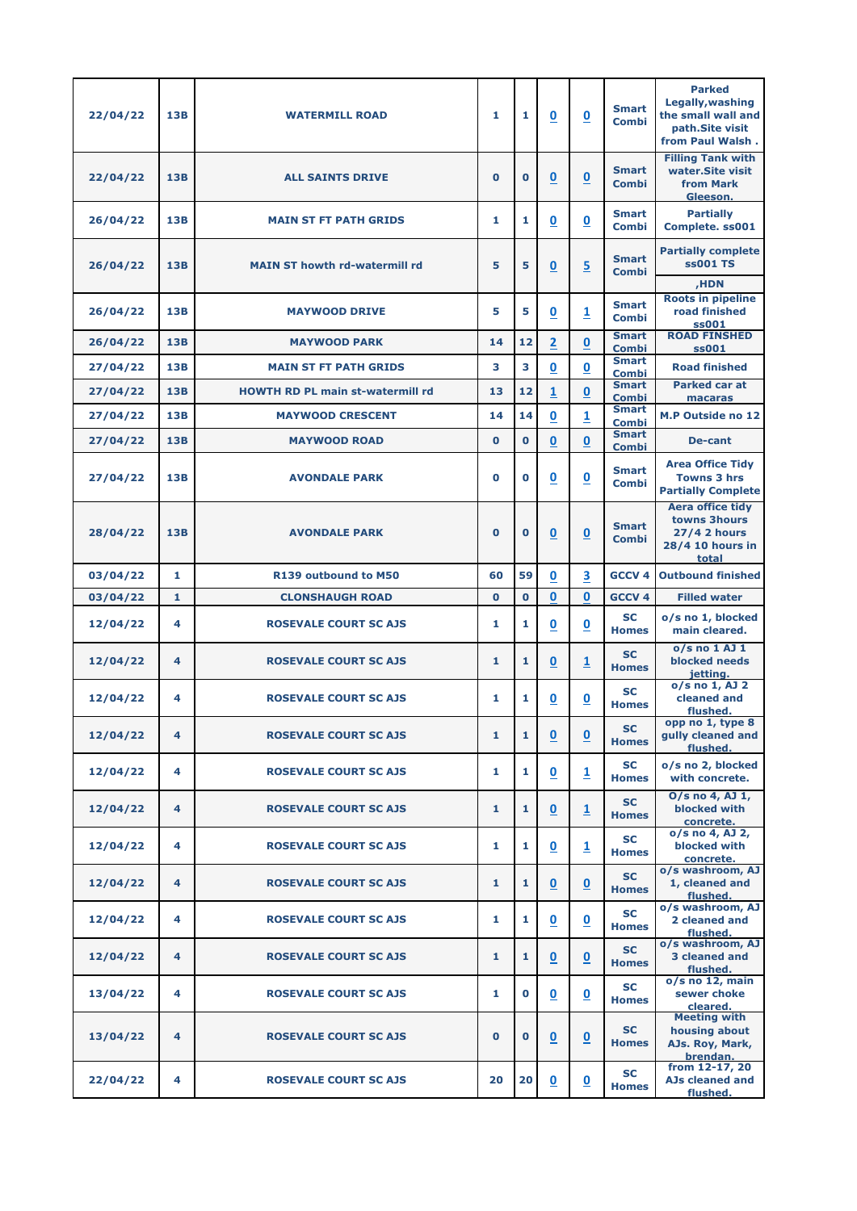| 22/04/22 | 13B        | <b>WATERMILL ROAD</b>                   | 1            | 1           | $\underline{\mathbf{0}}$ | $\underline{\mathbf{0}}$ | <b>Smart</b><br><b>Combi</b>                 | <b>Parked</b><br>Legally, washing<br>the small wall and<br>path.Site visit<br>from Paul Walsh. |
|----------|------------|-----------------------------------------|--------------|-------------|--------------------------|--------------------------|----------------------------------------------|------------------------------------------------------------------------------------------------|
| 22/04/22 | <b>13B</b> | <b>ALL SAINTS DRIVE</b>                 | $\bf{0}$     | $\bf{0}$    | $\underline{\mathbf{0}}$ | $\underline{\mathbf{0}}$ | <b>Smart</b><br><b>Combi</b>                 | <b>Filling Tank with</b><br>water.Site visit<br><b>from Mark</b><br>Gleeson.                   |
| 26/04/22 | 13B        | <b>MAIN ST FT PATH GRIDS</b>            | 1            | 1           | $\underline{\mathbf{0}}$ | $\underline{\mathbf{0}}$ | <b>Smart</b><br><b>Combi</b>                 | <b>Partially</b><br><b>Complete. ss001</b>                                                     |
| 26/04/22 | <b>13B</b> | <b>MAIN ST howth rd-watermill rd</b>    | 5            | 5           | $\underline{\mathbf{0}}$ | $\overline{5}$           | <b>Smart</b><br><b>Combi</b>                 | <b>Partially complete</b><br><b>ss001 TS</b><br>,HDN                                           |
| 26/04/22 | 13B        | <b>MAYWOOD DRIVE</b>                    | 5            | 5           | $\overline{\mathbf{0}}$  | $\overline{\mathbf{1}}$  | <b>Smart</b><br><b>Combi</b>                 | <b>Roots in pipeline</b><br>road finished<br>ss001                                             |
| 26/04/22 | <b>13B</b> | <b>MAYWOOD PARK</b>                     | 14           | 12          | $\overline{\mathbf{2}}$  | $\bf{0}$                 | <b>Smart</b><br><b>Combi</b>                 | <b>ROAD FINSHED</b><br>ss001                                                                   |
| 27/04/22 | 13B        | <b>MAIN ST FT PATH GRIDS</b>            | 3            | 3           | $\underline{\mathbf{0}}$ | $\underline{\mathbf{0}}$ | <b>Smart</b><br>Combi                        | <b>Road finished</b>                                                                           |
| 27/04/22 | <b>13B</b> | <b>HOWTH RD PL main st-watermill rd</b> | 13           | 12          | $\overline{1}$           | $\overline{\mathbf{0}}$  | <b>Smart</b><br><b>Combi</b>                 | <b>Parked car at</b><br>macaras                                                                |
| 27/04/22 | <b>13B</b> | <b>MAYWOOD CRESCENT</b>                 | 14           | 14          | $\mathbf 0$              | 1                        | <b>Smart</b><br><b>Combi</b>                 | <b>M.P Outside no 12</b>                                                                       |
| 27/04/22 | 13B        | <b>MAYWOOD ROAD</b>                     | $\mathbf 0$  | $\bf{0}$    | $\pmb{0}$                | 0                        | <b>Smart</b>                                 | <b>De-cant</b>                                                                                 |
| 27/04/22 | 13B        | <b>AVONDALE PARK</b>                    | $\bf{0}$     | $\mathbf 0$ | $\underline{\mathbf{0}}$ | $\overline{\mathbf{0}}$  | <b>Combi</b><br><b>Smart</b><br><b>Combi</b> | <b>Area Office Tidy</b><br><b>Towns 3 hrs</b><br><b>Partially Complete</b>                     |
| 28/04/22 | 13B        | <b>AVONDALE PARK</b>                    | $\bf{0}$     | $\bf{O}$    | $\boldsymbol{0}$         | 0                        | <b>Smart</b><br><b>Combi</b>                 | <b>Aera office tidy</b><br>towns 3hours<br><b>27/4 2 hours</b><br>28/4 10 hours in<br>total    |
| 03/04/22 | 1          | R139 outbound to M50                    | 60           | 59          | $\underline{\mathbf{0}}$ | $\overline{\mathbf{3}}$  | <b>GCCV 4</b>                                | <b>Outbound finished</b>                                                                       |
| 03/04/22 | 1          | <b>CLONSHAUGH ROAD</b>                  | $\mathbf 0$  | $\bf{0}$    | $\bf{0}$                 | 0                        | GCCV <sub>4</sub>                            | <b>Filled water</b>                                                                            |
| 12/04/22 | 4          | <b>ROSEVALE COURT SC AJS</b>            | 1            | 1           | $\overline{\mathbf{0}}$  | $\overline{\mathbf{0}}$  | SC<br><b>Homes</b>                           | o/s no 1, blocked<br>main cleared.                                                             |
| 12/04/22 | 4          | <b>ROSEVALE COURT SC AJS</b>            | 1            | 1           | $\underline{\mathbf{0}}$ | $\overline{\mathbf{1}}$  | <b>SC</b><br><b>Homes</b>                    | $0/s$ no $1$ AJ $1$<br><b>blocked needs</b><br>jetting.                                        |
| 12/04/22 | 4          | <b>ROSEVALE COURT SC AJS</b>            | 1            | 1           | $\overline{\mathbf{0}}$  | $\underline{\mathbf{0}}$ | <b>SC</b><br><b>Homes</b>                    | o/s no 1, AJ 2<br>cleaned and<br>flushed.                                                      |
| 12/04/22 | 4          | <b>ROSEVALE COURT SC AJS</b>            | 1            | 1           | $\underline{\mathbf{0}}$ | $\underline{\mathbf{0}}$ | <b>SC</b><br><b>Homes</b>                    | opp no 1, type 8<br>gully cleaned and<br>flushed.                                              |
| 12/04/22 | 4          | <b>ROSEVALE COURT SC AJS</b>            | 1            | 1           | $\overline{\mathbf{0}}$  | $\overline{\mathbf{1}}$  | <b>SC</b><br><b>Homes</b>                    | o/s no 2, blocked<br>with concrete.                                                            |
| 12/04/22 | 4          | <b>ROSEVALE COURT SC AJS</b>            | 1            | 1           | $\underline{\mathbf{0}}$ | $\overline{1}$           | <b>SC</b><br><b>Homes</b>                    | O/s no 4, AJ 1,<br><b>blocked with</b><br>concrete.                                            |
| 12/04/22 | 4          | <b>ROSEVALE COURT SC AJS</b>            | 1            | 1           | $\overline{\mathbf{0}}$  | $\overline{\mathbf{1}}$  | <b>SC</b><br><b>Homes</b>                    | o/s no 4, AJ 2,<br>blocked with<br>concrete.                                                   |
| 12/04/22 | 4          | <b>ROSEVALE COURT SC AJS</b>            | 1            | 1           | $\underline{\mathbf{0}}$ | $\underline{\mathbf{0}}$ | <b>SC</b><br><b>Homes</b>                    | o/s washroom, AJ<br>1, cleaned and<br>flushed.                                                 |
| 12/04/22 | 4          | <b>ROSEVALE COURT SC AJS</b>            | 1            | 1           | $\overline{\mathbf{0}}$  | $\overline{\mathbf{0}}$  | <b>SC</b><br><b>Homes</b>                    | o/s washroom, AJ<br>2 cleaned and<br>flushed.                                                  |
| 12/04/22 | 4          | <b>ROSEVALE COURT SC AJS</b>            | $\mathbf{1}$ | 1           | $\underline{\mathbf{0}}$ | $\underline{\mathbf{0}}$ | <b>SC</b><br><b>Homes</b>                    | o/s washroom, AJ<br>3 cleaned and<br>flushed.                                                  |
| 13/04/22 | 4          | <b>ROSEVALE COURT SC AJS</b>            | 1            | $\bf{0}$    | $\underline{\mathbf{0}}$ | $\underline{\mathbf{0}}$ | <b>SC</b><br><b>Homes</b>                    | $o/s$ no 12, main<br>sewer choke<br>cleared.                                                   |
| 13/04/22 | 4          | <b>ROSEVALE COURT SC AJS</b>            | $\mathbf 0$  | $\bf{0}$    | $\underline{\mathbf{0}}$ | $\underline{\mathbf{0}}$ | <b>SC</b><br><b>Homes</b>                    | <b>Meeting with</b><br>housing about<br>AJs. Roy, Mark,<br>brendan.                            |
| 22/04/22 | 4          | <b>ROSEVALE COURT SC AJS</b>            | 20           | 20          | $\overline{\mathbf{0}}$  | $\overline{\mathbf{0}}$  | <b>SC</b><br><b>Homes</b>                    | from 12-17, 20<br><b>AJs cleaned and</b><br>flushed.                                           |